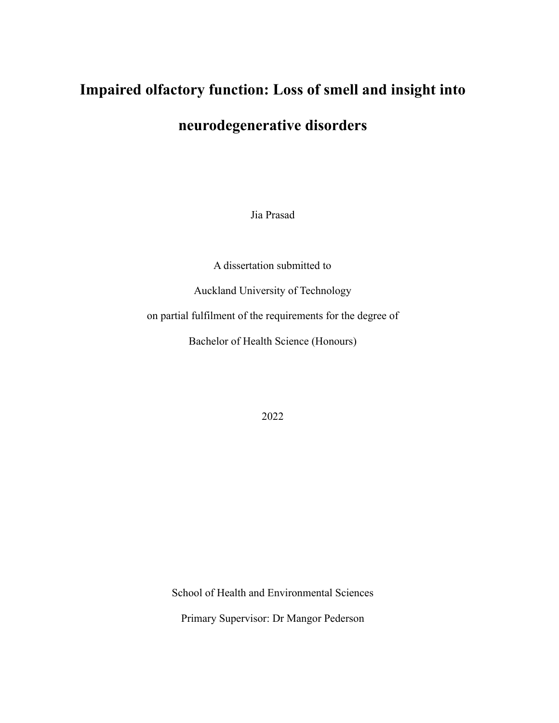# **Impaired olfactory function: Loss of smell and insight into**

# **neurodegenerative disorders**

Jia Prasad

A dissertation submitted to

Auckland University of Technology

on partial fulfilment of the requirements for the degree of

Bachelor of Health Science (Honours)

2022

School of Health and Environmental Sciences

Primary Supervisor: Dr Mangor Pederson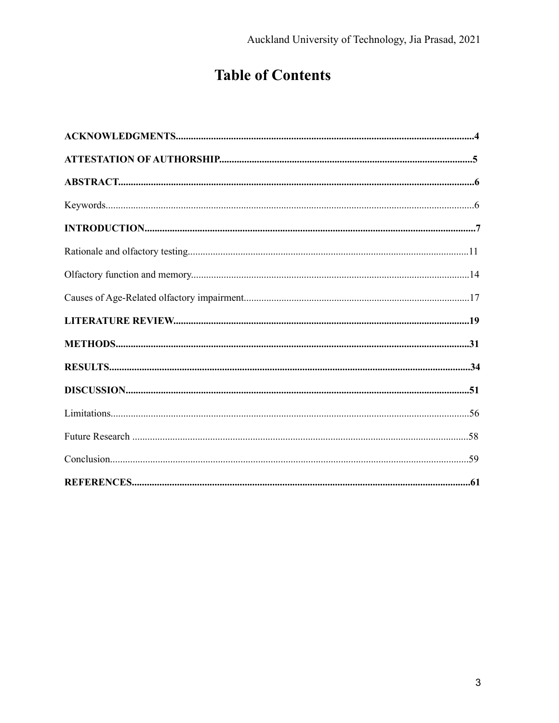# **Table of Contents**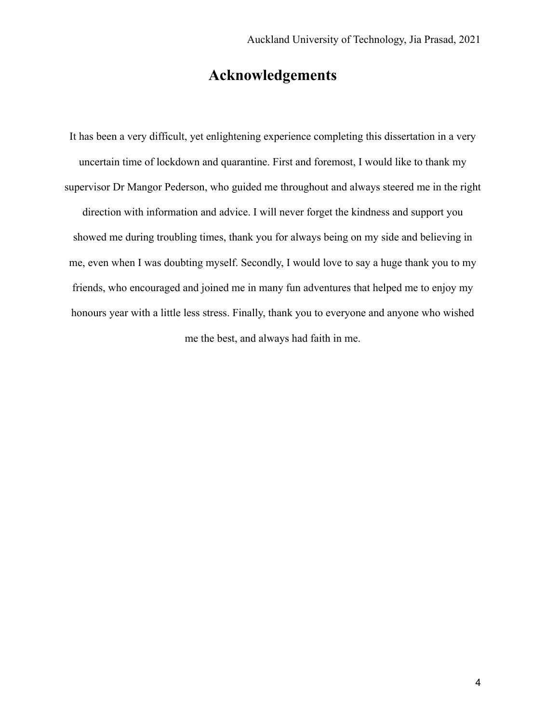## **Acknowledgements**

It has been a very difficult, yet enlightening experience completing this dissertation in a very uncertain time of lockdown and quarantine. First and foremost, I would like to thank my supervisor Dr Mangor Pederson, who guided me throughout and always steered me in the right direction with information and advice. I will never forget the kindness and support you showed me during troubling times, thank you for always being on my side and believing in me, even when I was doubting myself. Secondly, I would love to say a huge thank you to my friends, who encouraged and joined me in many fun adventures that helped me to enjoy my honours year with a little less stress. Finally, thank you to everyone and anyone who wished me the best, and always had faith in me.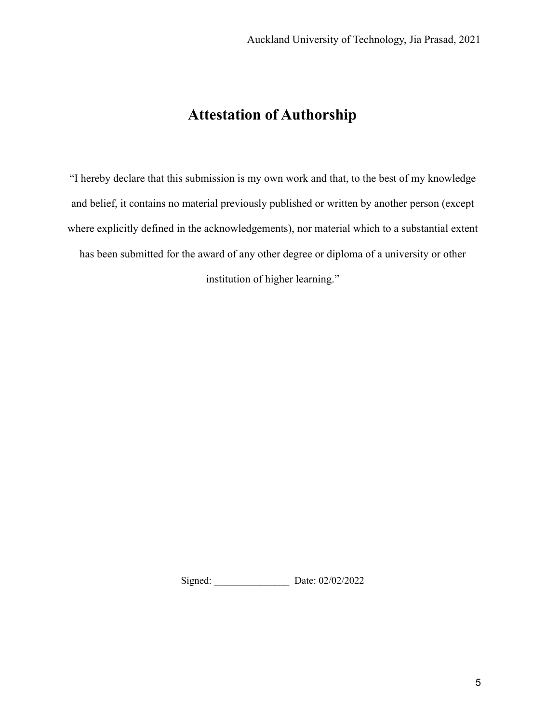# **Attestation of Authorship**

"I hereby declare that this submission is my own work and that, to the best of my knowledge and belief, it contains no material previously published or written by another person (except where explicitly defined in the acknowledgements), nor material which to a substantial extent has been submitted for the award of any other degree or diploma of a university or other institution of higher learning."

Signed: \_\_\_\_\_\_\_\_\_\_\_\_\_\_\_ Date: 02/02/2022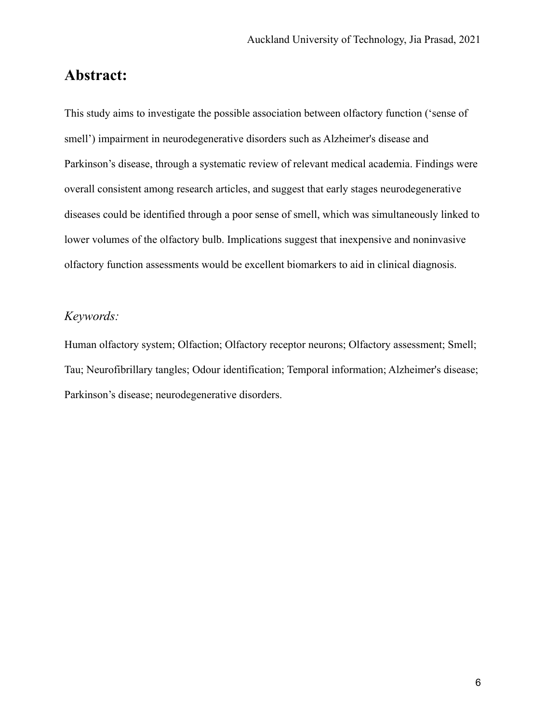## **Abstract:**

This study aims to investigate the possible association between olfactory function ('sense of smell') impairment in neurodegenerative disorders such as Alzheimer's disease and Parkinson's disease, through a systematic review of relevant medical academia. Findings were overall consistent among research articles, and suggest that early stages neurodegenerative diseases could be identified through a poor sense of smell, which was simultaneously linked to lower volumes of the olfactory bulb. Implications suggest that inexpensive and noninvasive olfactory function assessments would be excellent biomarkers to aid in clinical diagnosis.

#### *Keywords:*

Human olfactory system; Olfaction; Olfactory receptor neurons; Olfactory assessment; Smell; Tau; Neurofibrillary tangles; Odour identification; Temporal information; Alzheimer's disease; Parkinson's disease; neurodegenerative disorders.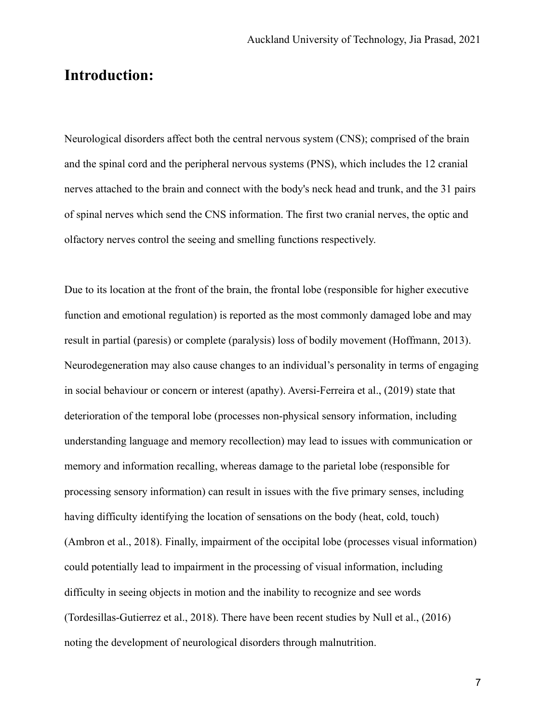## **Introduction:**

Neurological disorders affect both the central nervous system (CNS); comprised of the brain and the spinal cord and the peripheral nervous systems (PNS), which includes the 12 cranial nerves attached to the brain and connect with the body's neck head and trunk, and the 31 pairs of spinal nerves which send the CNS information. The first two cranial nerves, the optic and olfactory nerves control the seeing and smelling functions respectively.

Due to its location at the front of the brain, the frontal lobe (responsible for higher executive function and emotional regulation) is reported as the most commonly damaged lobe and may result in partial (paresis) or complete (paralysis) loss of bodily movement (Hoffmann, 2013). Neurodegeneration may also cause changes to an individual's personality in terms of engaging in social behaviour or concern or interest (apathy). Aversi-Ferreira et al., (2019) state that deterioration of the temporal lobe (processes non-physical sensory information, including understanding language and memory recollection) may lead to issues with communication or memory and information recalling, whereas damage to the parietal lobe (responsible for processing sensory information) can result in issues with the five primary senses, including having difficulty identifying the location of sensations on the body (heat, cold, touch) (Ambron et al., 2018). Finally, impairment of the occipital lobe (processes visual information) could potentially lead to impairment in the processing of visual information, including difficulty in seeing objects in motion and the inability to recognize and see words (Tordesillas-Gutierrez et al., 2018). There have been recent studies by Null et al., (2016) noting the development of neurological disorders through malnutrition.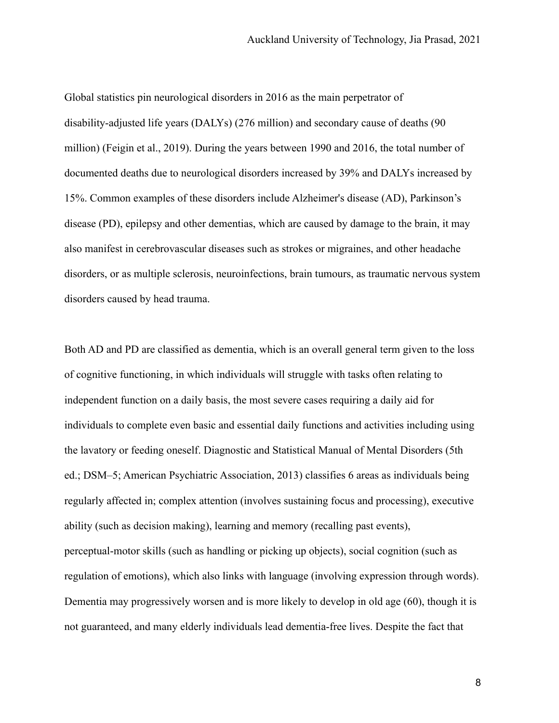Global statistics pin neurological disorders in 2016 as the main perpetrator of disability-adjusted life years (DALYs) (276 million) and secondary cause of deaths (90 million) (Feigin et al., 2019). During the years between 1990 and 2016, the total number of documented deaths due to neurological disorders increased by 39% and DALYs increased by 15%. Common examples of these disorders include Alzheimer's disease (AD), Parkinson's disease (PD), epilepsy and other dementias, which are caused by damage to the brain, it may also manifest in cerebrovascular diseases such as strokes or migraines, and other headache disorders, or as multiple sclerosis, neuroinfections, brain tumours, as traumatic nervous system disorders caused by head trauma.

Both AD and PD are classified as dementia, which is an overall general term given to the loss of cognitive functioning, in which individuals will struggle with tasks often relating to independent function on a daily basis, the most severe cases requiring a daily aid for individuals to complete even basic and essential daily functions and activities including using the lavatory or feeding oneself. Diagnostic and Statistical Manual of Mental Disorders (5th ed.; DSM–5; American Psychiatric Association, 2013) classifies 6 areas as individuals being regularly affected in; complex attention (involves sustaining focus and processing), executive ability (such as decision making), learning and memory (recalling past events), perceptual-motor skills (such as handling or picking up objects), social cognition (such as regulation of emotions), which also links with language (involving expression through words). Dementia may progressively worsen and is more likely to develop in old age (60), though it is not guaranteed, and many elderly individuals lead dementia-free lives. Despite the fact that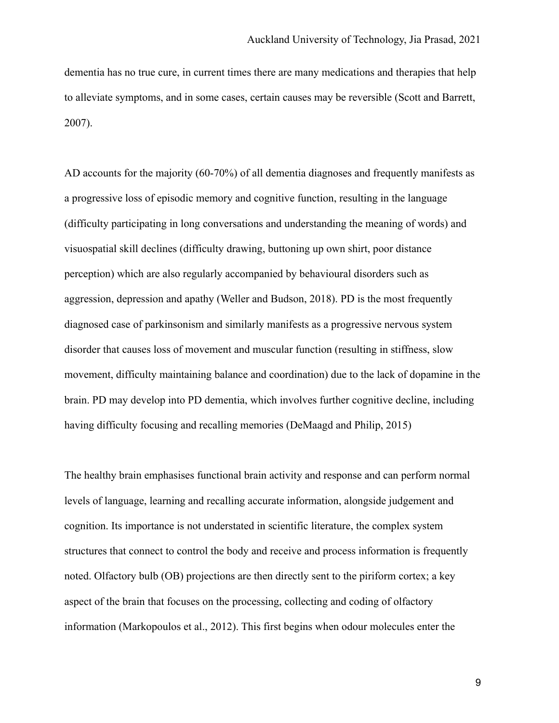dementia has no true cure, in current times there are many medications and therapies that help to alleviate symptoms, and in some cases, certain causes may be reversible (Scott and Barrett, 2007).

AD accounts for the majority (60-70%) of all dementia diagnoses and frequently manifests as a progressive loss of episodic memory and cognitive function, resulting in the language (difficulty participating in long conversations and understanding the meaning of words) and visuospatial skill declines (difficulty drawing, buttoning up own shirt, poor distance perception) which are also regularly accompanied by behavioural disorders such as aggression, depression and apathy (Weller and Budson, 2018). PD is the most frequently diagnosed case of parkinsonism and similarly manifests as a progressive nervous system disorder that causes loss of movement and muscular function (resulting in stiffness, slow movement, difficulty maintaining balance and coordination) due to the lack of dopamine in the brain. PD may develop into PD dementia, which involves further cognitive decline, including having difficulty focusing and recalling memories (DeMaagd and Philip, 2015)

The healthy brain emphasises functional brain activity and response and can perform normal levels of language, learning and recalling accurate information, alongside judgement and cognition. Its importance is not understated in scientific literature, the complex system structures that connect to control the body and receive and process information is frequently noted. Olfactory bulb (OB) projections are then directly sent to the piriform cortex; a key aspect of the brain that focuses on the processing, collecting and coding of olfactory information (Markopoulos et al., 2012). This first begins when odour molecules enter the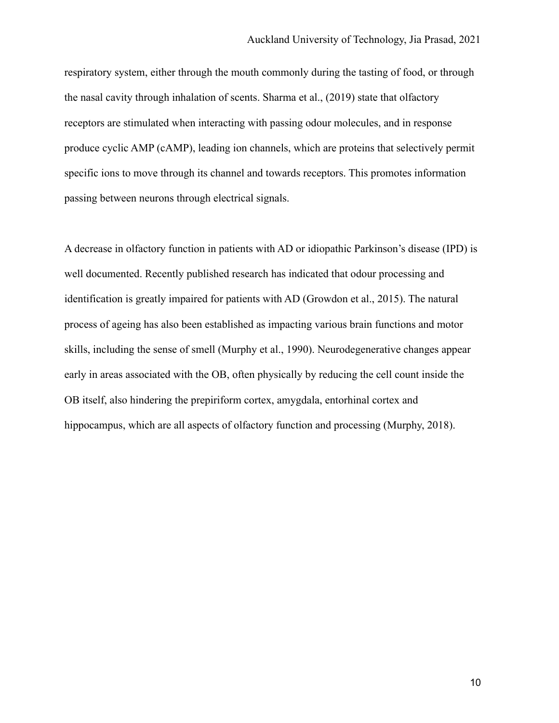respiratory system, either through the mouth commonly during the tasting of food, or through the nasal cavity through inhalation of scents. Sharma et al., (2019) state that olfactory receptors are stimulated when interacting with passing odour molecules, and in response produce cyclic AMP (cAMP), leading ion channels, which are proteins that selectively permit specific ions to move through its channel and towards receptors. This promotes information passing between neurons through electrical signals.

A decrease in olfactory function in patients with AD or idiopathic Parkinson's disease (IPD) is well documented. Recently published research has indicated that odour processing and identification is greatly impaired for patients with AD (Growdon et al., 2015). The natural process of ageing has also been established as impacting various brain functions and motor skills, including the sense of smell (Murphy et al., 1990). Neurodegenerative changes appear early in areas associated with the OB, often physically by reducing the cell count inside the OB itself, also hindering the prepiriform cortex, amygdala, entorhinal cortex and hippocampus, which are all aspects of olfactory function and processing (Murphy, 2018).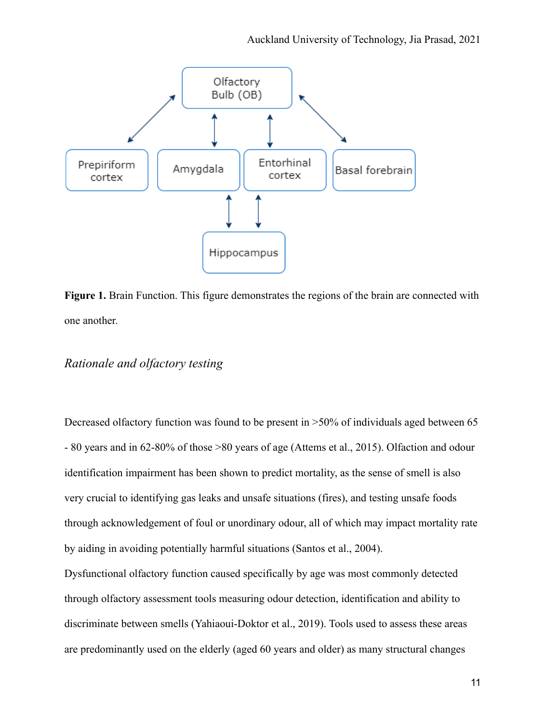

**Figure 1.** Brain Function. This figure demonstrates the regions of the brain are connected with one another.

#### *Rationale and olfactory testing*

Decreased olfactory function was found to be present in  $>50\%$  of individuals aged between 65 - 80 years and in 62-80% of those >80 years of age (Attems et al., 2015). Olfaction and odour identification impairment has been shown to predict mortality, as the sense of smell is also very crucial to identifying gas leaks and unsafe situations (fires), and testing unsafe foods through acknowledgement of foul or unordinary odour, all of which may impact mortality rate by aiding in avoiding potentially harmful situations (Santos et al., 2004).

Dysfunctional olfactory function caused specifically by age was most commonly detected through olfactory assessment tools measuring odour detection, identification and ability to discriminate between smells (Yahiaoui-Doktor et al., 2019). Tools used to assess these areas are predominantly used on the elderly (aged 60 years and older) as many structural changes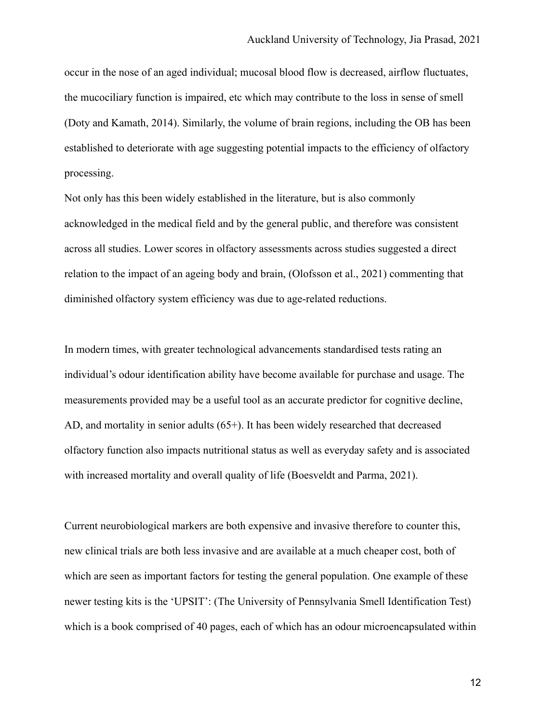occur in the nose of an aged individual; mucosal blood flow is decreased, airflow fluctuates, the mucociliary function is impaired, etc which may contribute to the loss in sense of smell (Doty and Kamath, 2014). Similarly, the volume of brain regions, including the OB has been established to deteriorate with age suggesting potential impacts to the efficiency of olfactory processing.

Not only has this been widely established in the literature, but is also commonly acknowledged in the medical field and by the general public, and therefore was consistent across all studies. Lower scores in olfactory assessments across studies suggested a direct relation to the impact of an ageing body and brain, (Olofsson et al., 2021) commenting that diminished olfactory system efficiency was due to age-related reductions.

In modern times, with greater technological advancements standardised tests rating an individual's odour identification ability have become available for purchase and usage. The measurements provided may be a useful tool as an accurate predictor for cognitive decline, AD, and mortality in senior adults (65+). It has been widely researched that decreased olfactory function also impacts nutritional status as well as everyday safety and is associated with increased mortality and overall quality of life (Boesveldt and Parma, 2021).

Current neurobiological markers are both expensive and invasive therefore to counter this, new clinical trials are both less invasive and are available at a much cheaper cost, both of which are seen as important factors for testing the general population. One example of these newer testing kits is the 'UPSIT': (The University of Pennsylvania Smell Identification Test) which is a book comprised of 40 pages, each of which has an odour microencapsulated within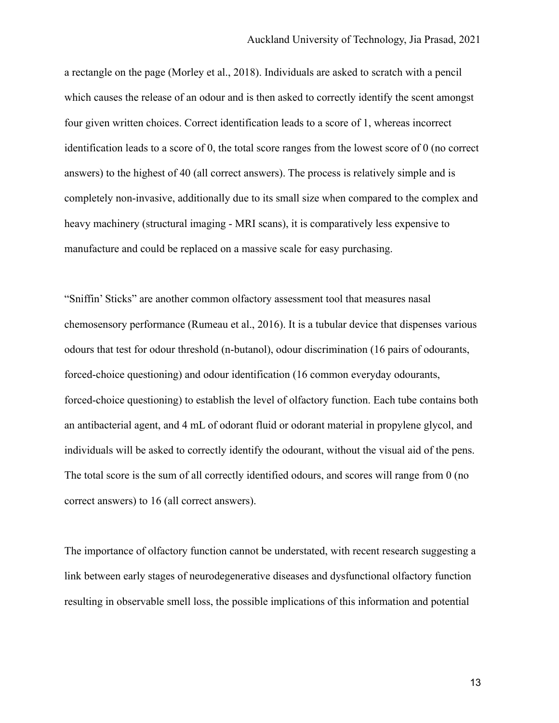a rectangle on the page (Morley et al., 2018). Individuals are asked to scratch with a pencil which causes the release of an odour and is then asked to correctly identify the scent amongst four given written choices. Correct identification leads to a score of 1, whereas incorrect identification leads to a score of 0, the total score ranges from the lowest score of 0 (no correct answers) to the highest of 40 (all correct answers). The process is relatively simple and is completely non-invasive, additionally due to its small size when compared to the complex and heavy machinery (structural imaging - MRI scans), it is comparatively less expensive to manufacture and could be replaced on a massive scale for easy purchasing.

"Sniffin' Sticks" are another common olfactory assessment tool that measures nasal chemosensory performance (Rumeau et al., 2016). It is a tubular device that dispenses various odours that test for odour threshold (n-butanol), odour discrimination (16 pairs of odourants, forced-choice questioning) and odour identification (16 common everyday odourants, forced-choice questioning) to establish the level of olfactory function. Each tube contains both an antibacterial agent, and 4 mL of odorant fluid or odorant material in propylene glycol, and individuals will be asked to correctly identify the odourant, without the visual aid of the pens. The total score is the sum of all correctly identified odours, and scores will range from 0 (no correct answers) to 16 (all correct answers).

The importance of olfactory function cannot be understated, with recent research suggesting a link between early stages of neurodegenerative diseases and dysfunctional olfactory function resulting in observable smell loss, the possible implications of this information and potential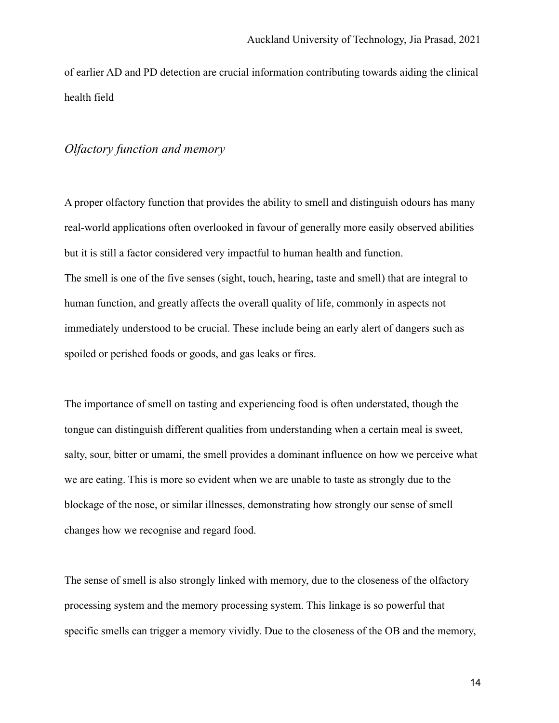of earlier AD and PD detection are crucial information contributing towards aiding the clinical health field

#### *Olfactory function and memory*

A proper olfactory function that provides the ability to smell and distinguish odours has many real-world applications often overlooked in favour of generally more easily observed abilities but it is still a factor considered very impactful to human health and function. The smell is one of the five senses (sight, touch, hearing, taste and smell) that are integral to human function, and greatly affects the overall quality of life, commonly in aspects not immediately understood to be crucial. These include being an early alert of dangers such as spoiled or perished foods or goods, and gas leaks or fires.

The importance of smell on tasting and experiencing food is often understated, though the tongue can distinguish different qualities from understanding when a certain meal is sweet, salty, sour, bitter or umami, the smell provides a dominant influence on how we perceive what we are eating. This is more so evident when we are unable to taste as strongly due to the blockage of the nose, or similar illnesses, demonstrating how strongly our sense of smell changes how we recognise and regard food.

The sense of smell is also strongly linked with memory, due to the closeness of the olfactory processing system and the memory processing system. This linkage is so powerful that specific smells can trigger a memory vividly. Due to the closeness of the OB and the memory,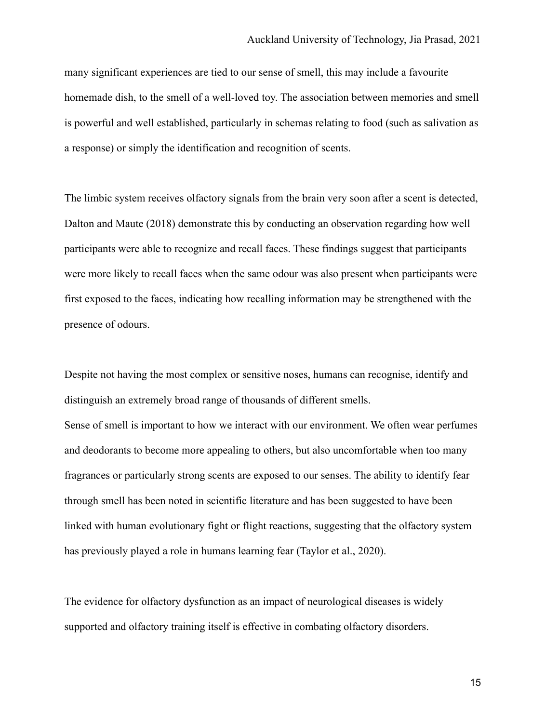many significant experiences are tied to our sense of smell, this may include a favourite homemade dish, to the smell of a well-loved toy. The association between memories and smell is powerful and well established, particularly in schemas relating to food (such as salivation as a response) or simply the identification and recognition of scents.

The limbic system receives olfactory signals from the brain very soon after a scent is detected, Dalton and Maute (2018) demonstrate this by conducting an observation regarding how well participants were able to recognize and recall faces. These findings suggest that participants were more likely to recall faces when the same odour was also present when participants were first exposed to the faces, indicating how recalling information may be strengthened with the presence of odours.

Despite not having the most complex or sensitive noses, humans can recognise, identify and distinguish an extremely broad range of thousands of different smells. Sense of smell is important to how we interact with our environment. We often wear perfumes and deodorants to become more appealing to others, but also uncomfortable when too many fragrances or particularly strong scents are exposed to our senses. The ability to identify fear through smell has been noted in scientific literature and has been suggested to have been linked with human evolutionary fight or flight reactions, suggesting that the olfactory system has previously played a role in humans learning fear (Taylor et al., 2020).

The evidence for olfactory dysfunction as an impact of neurological diseases is widely supported and olfactory training itself is effective in combating olfactory disorders.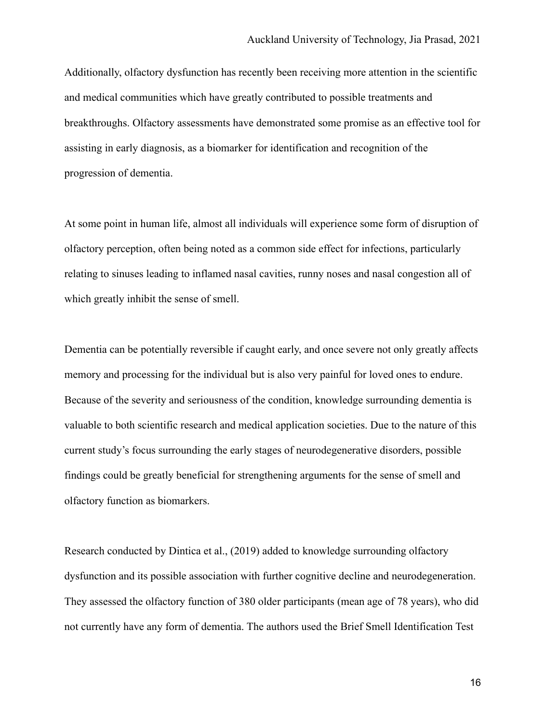Additionally, olfactory dysfunction has recently been receiving more attention in the scientific and medical communities which have greatly contributed to possible treatments and breakthroughs. Olfactory assessments have demonstrated some promise as an effective tool for assisting in early diagnosis, as a biomarker for identification and recognition of the progression of dementia.

At some point in human life, almost all individuals will experience some form of disruption of olfactory perception, often being noted as a common side effect for infections, particularly relating to sinuses leading to inflamed nasal cavities, runny noses and nasal congestion all of which greatly inhibit the sense of smell.

Dementia can be potentially reversible if caught early, and once severe not only greatly affects memory and processing for the individual but is also very painful for loved ones to endure. Because of the severity and seriousness of the condition, knowledge surrounding dementia is valuable to both scientific research and medical application societies. Due to the nature of this current study's focus surrounding the early stages of neurodegenerative disorders, possible findings could be greatly beneficial for strengthening arguments for the sense of smell and olfactory function as biomarkers.

Research conducted by Dintica et al., (2019) added to knowledge surrounding olfactory dysfunction and its possible association with further cognitive decline and neurodegeneration. They assessed the olfactory function of 380 older participants (mean age of 78 years), who did not currently have any form of dementia. The authors used the Brief Smell Identification Test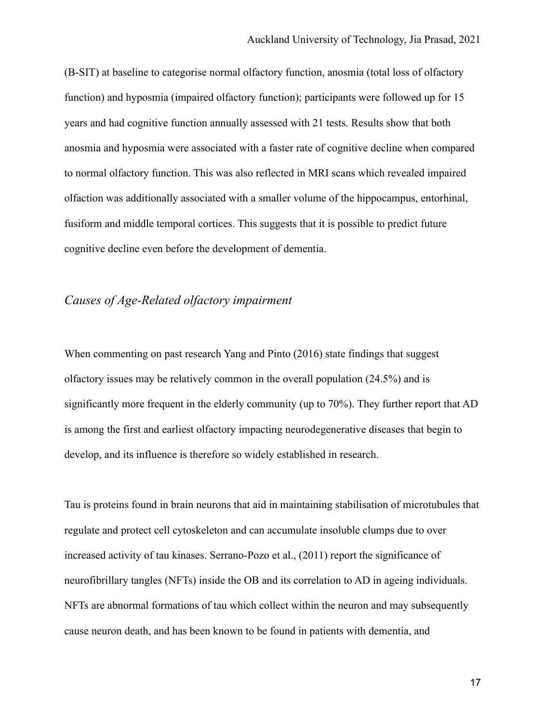(B-SIT) at baseline to categorise normal olfactory function, anosmia (total loss of olfactory function) and hyposmia (impaired olfactory function); participants were followed up for 15 years and had cognitive function annually assessed with 21 tests. Results show that both anosmia and hyposmia were associated with a faster rate of cognitive decline when compared to normal olfactory function. This was also reflected in MRI scans which revealed impaired olfaction was additionally associated with a smaller volume of the hippocampus, entorhinal, fusiform and middle temporal cortices. This suggests that it is possible to predict future cognitive decline even before the development of dementia.

#### *Causes of Age-Related olfactory impairment*

When commenting on past research Yang and Pinto (2016) state findings that suggest olfactory issues may be relatively common in the overall population (24.5%) and is significantly more frequent in the elderly community (up to 70%). They further report that AD is among the first and earliest olfactory impacting neurodegenerative diseases that begin to develop, and its influence is therefore so widely established in research.

Tau is proteins found in brain neurons that aid in maintaining stabilisation of microtubules that regulate and protect cell cytoskeleton and can accumulate insoluble clumps due to over increased activity of tau kinases. Serrano-Pozo et al., (2011) report the significance of neurofibrillary tangles (NFTs) inside the OB and its correlation to AD in ageing individuals. NFTs are abnormal formations of tau which collect within the neuron and may subsequently cause neuron death, and has been known to be found in patients with dementia, and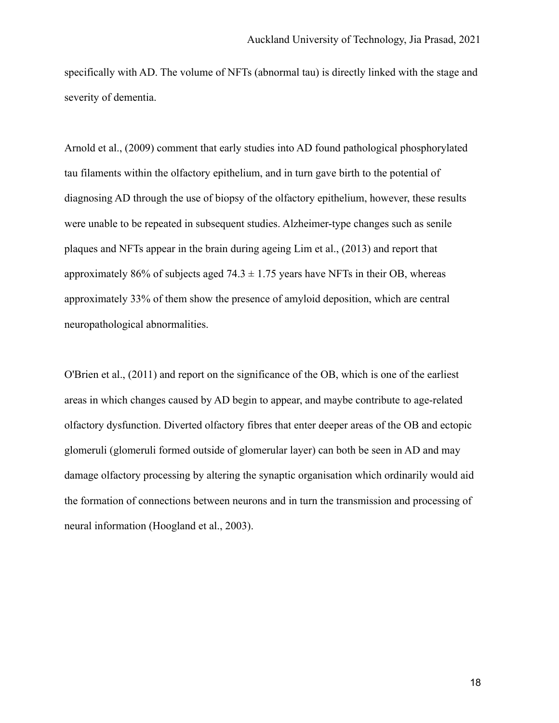specifically with AD. The volume of NFTs (abnormal tau) is directly linked with the stage and severity of dementia.

Arnold et al., (2009) comment that early studies into AD found pathological phosphorylated tau filaments within the olfactory epithelium, and in turn gave birth to the potential of diagnosing AD through the use of biopsy of the olfactory epithelium, however, these results were unable to be repeated in subsequent studies. Alzheimer-type changes such as senile plaques and NFTs appear in the brain during ageing Lim et al., (2013) and report that approximately 86% of subjects aged 74.3  $\pm$  1.75 years have NFTs in their OB, whereas approximately 33% of them show the presence of amyloid deposition, which are central neuropathological abnormalities.

O'Brien et al., (2011) and report on the significance of the OB, which is one of the earliest areas in which changes caused by AD begin to appear, and maybe contribute to age-related olfactory dysfunction. Diverted olfactory fibres that enter deeper areas of the OB and ectopic glomeruli (glomeruli formed outside of glomerular layer) can both be seen in AD and may damage olfactory processing by altering the synaptic organisation which ordinarily would aid the formation of connections between neurons and in turn the transmission and processing of neural information (Hoogland et al., 2003).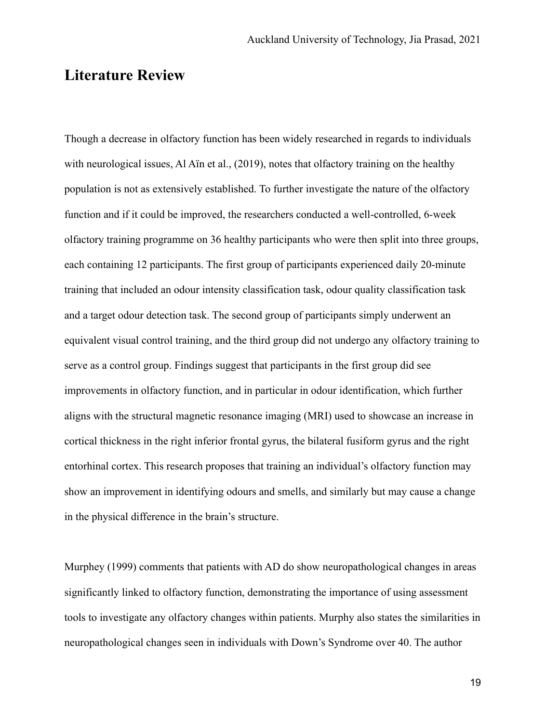## **Literature Review**

Though a decrease in olfactory function has been widely researched in regards to individuals with neurological issues, Al Aïn et al., (2019), notes that olfactory training on the healthy population is not as extensively established. To further investigate the nature of the olfactory function and if it could be improved, the researchers conducted a well-controlled, 6-week olfactory training programme on 36 healthy participants who were then split into three groups, each containing 12 participants. The first group of participants experienced daily 20-minute training that included an odour intensity classification task, odour quality classification task and a target odour detection task. The second group of participants simply underwent an equivalent visual control training, and the third group did not undergo any olfactory training to serve as a control group. Findings suggest that participants in the first group did see improvements in olfactory function, and in particular in odour identification, which further aligns with the structural magnetic resonance imaging (MRI) used to showcase an increase in cortical thickness in the right inferior frontal gyrus, the bilateral fusiform gyrus and the right entorhinal cortex. This research proposes that training an individual's olfactory function may show an improvement in identifying odours and smells, and similarly but may cause a change in the physical difference in the brain's structure.

Murphey (1999) comments that patients with AD do show neuropathological changes in areas significantly linked to olfactory function, demonstrating the importance of using assessment tools to investigate any olfactory changes within patients. Murphy also states the similarities in neuropathological changes seen in individuals with Down's Syndrome over 40. The author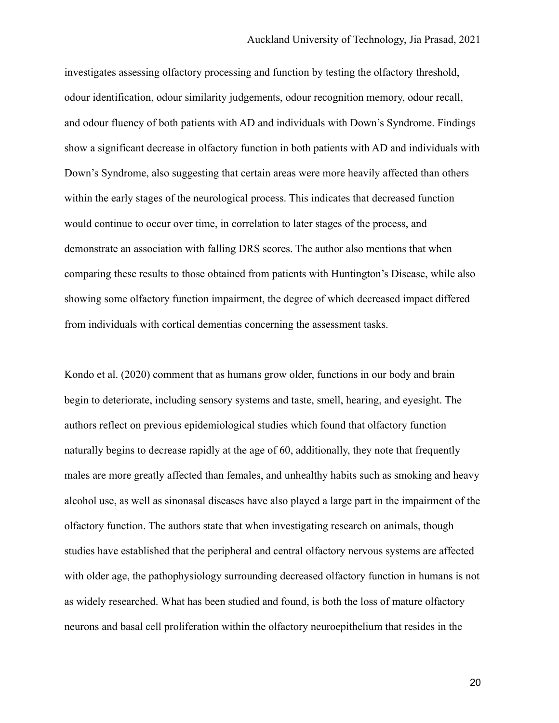investigates assessing olfactory processing and function by testing the olfactory threshold, odour identification, odour similarity judgements, odour recognition memory, odour recall, and odour fluency of both patients with AD and individuals with Down's Syndrome. Findings show a significant decrease in olfactory function in both patients with AD and individuals with Down's Syndrome, also suggesting that certain areas were more heavily affected than others within the early stages of the neurological process. This indicates that decreased function would continue to occur over time, in correlation to later stages of the process, and demonstrate an association with falling DRS scores. The author also mentions that when comparing these results to those obtained from patients with Huntington's Disease, while also showing some olfactory function impairment, the degree of which decreased impact differed from individuals with cortical dementias concerning the assessment tasks.

Kondo et al. (2020) comment that as humans grow older, functions in our body and brain begin to deteriorate, including sensory systems and taste, smell, hearing, and eyesight. The authors reflect on previous epidemiological studies which found that olfactory function naturally begins to decrease rapidly at the age of 60, additionally, they note that frequently males are more greatly affected than females, and unhealthy habits such as smoking and heavy alcohol use, as well as sinonasal diseases have also played a large part in the impairment of the olfactory function. The authors state that when investigating research on animals, though studies have established that the peripheral and central olfactory nervous systems are affected with older age, the pathophysiology surrounding decreased olfactory function in humans is not as widely researched. What has been studied and found, is both the loss of mature olfactory neurons and basal cell proliferation within the olfactory neuroepithelium that resides in the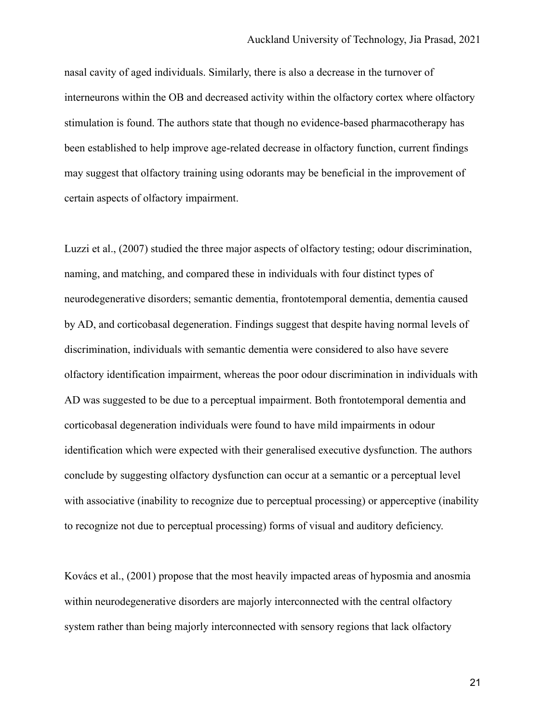nasal cavity of aged individuals. Similarly, there is also a decrease in the turnover of interneurons within the OB and decreased activity within the olfactory cortex where olfactory stimulation is found. The authors state that though no evidence-based pharmacotherapy has been established to help improve age-related decrease in olfactory function, current findings may suggest that olfactory training using odorants may be beneficial in the improvement of certain aspects of olfactory impairment.

Luzzi et al., (2007) studied the three major aspects of olfactory testing; odour discrimination, naming, and matching, and compared these in individuals with four distinct types of neurodegenerative disorders; semantic dementia, frontotemporal dementia, dementia caused by AD, and corticobasal degeneration. Findings suggest that despite having normal levels of discrimination, individuals with semantic dementia were considered to also have severe olfactory identification impairment, whereas the poor odour discrimination in individuals with AD was suggested to be due to a perceptual impairment. Both frontotemporal dementia and corticobasal degeneration individuals were found to have mild impairments in odour identification which were expected with their generalised executive dysfunction. The authors conclude by suggesting olfactory dysfunction can occur at a semantic or a perceptual level with associative (inability to recognize due to perceptual processing) or apperceptive (inability to recognize not due to perceptual processing) forms of visual and auditory deficiency.

Kovács et al., (2001) propose that the most heavily impacted areas of hyposmia and anosmia within neurodegenerative disorders are majorly interconnected with the central olfactory system rather than being majorly interconnected with sensory regions that lack olfactory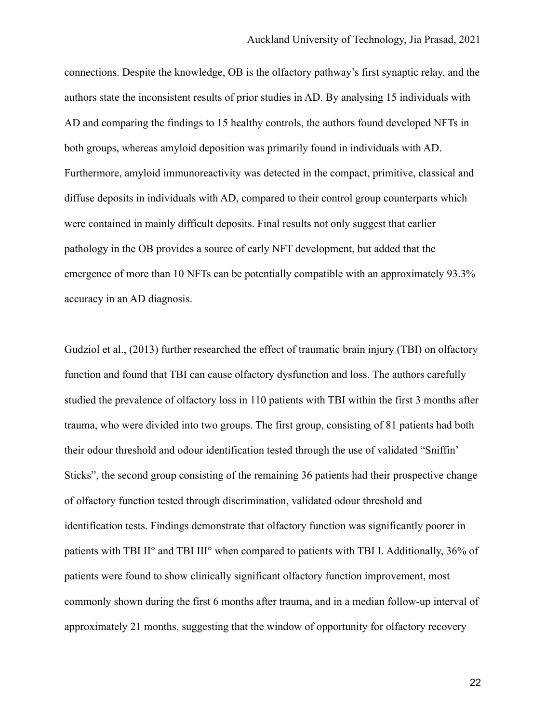connections. Despite the knowledge, OB is the olfactory pathway's first synaptic relay, and the authors state the inconsistent results of prior studies in AD. By analysing 15 individuals with AD and comparing the findings to 15 healthy controls, the authors found developed NFTs in both groups, whereas amyloid deposition was primarily found in individuals with AD. Furthermore, amyloid immunoreactivity was detected in the compact, primitive, classical and diffuse deposits in individuals with AD, compared to their control group counterparts which were contained in mainly difficult deposits. Final results not only suggest that earlier pathology in the OB provides a source of early NFT development, but added that the emergence of more than 10 NFTs can be potentially compatible with an approximately 93.3% accuracy in an AD diagnosis.

Gudziol et al., (2013) further researched the effect of traumatic brain injury (TBI) on olfactory function and found that TBI can cause olfactory dysfunction and loss. The authors carefully studied the prevalence of olfactory loss in 110 patients with TBI within the first 3 months after trauma, who were divided into two groups. The first group, consisting of 81 patients had both their odour threshold and odour identification tested through the use of validated "Sniffin' Sticks", the second group consisting of the remaining 36 patients had their prospective change of olfactory function tested through discrimination, validated odour threshold and identification tests. Findings demonstrate that olfactory function was significantly poorer in patients with TBI II° and TBI III° when compared to patients with TBI I. Additionally, 36% of patients were found to show clinically significant olfactory function improvement, most commonly shown during the first 6 months after trauma, and in a median follow-up interval of approximately 21 months, suggesting that the window of opportunity for olfactory recovery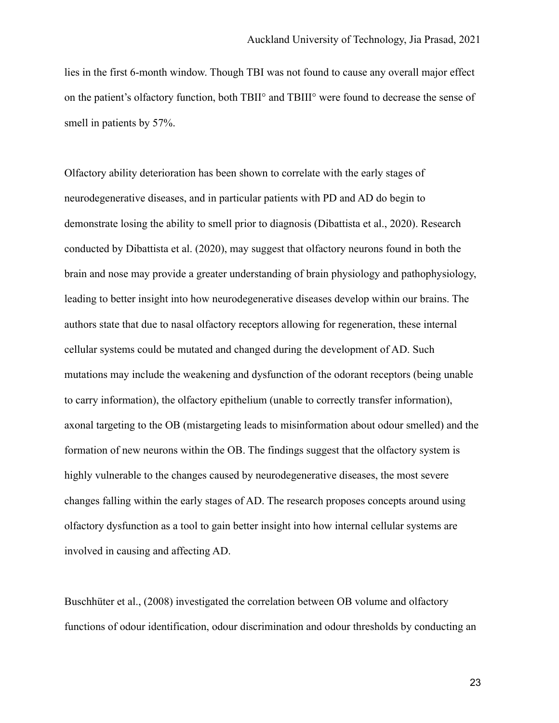lies in the first 6-month window. Though TBI was not found to cause any overall major effect on the patient's olfactory function, both TBII° and TBIII° were found to decrease the sense of smell in patients by 57%.

Olfactory ability deterioration has been shown to correlate with the early stages of neurodegenerative diseases, and in particular patients with PD and AD do begin to demonstrate losing the ability to smell prior to diagnosis (Dibattista et al., 2020). Research conducted by Dibattista et al. (2020), may suggest that olfactory neurons found in both the brain and nose may provide a greater understanding of brain physiology and pathophysiology, leading to better insight into how neurodegenerative diseases develop within our brains. The authors state that due to nasal olfactory receptors allowing for regeneration, these internal cellular systems could be mutated and changed during the development of AD. Such mutations may include the weakening and dysfunction of the odorant receptors (being unable to carry information), the olfactory epithelium (unable to correctly transfer information), axonal targeting to the OB (mistargeting leads to misinformation about odour smelled) and the formation of new neurons within the OB. The findings suggest that the olfactory system is highly vulnerable to the changes caused by neurodegenerative diseases, the most severe changes falling within the early stages of AD. The research proposes concepts around using olfactory dysfunction as a tool to gain better insight into how internal cellular systems are involved in causing and affecting AD.

Buschhüter et al., (2008) investigated the correlation between OB volume and olfactory functions of odour identification, odour discrimination and odour thresholds by conducting an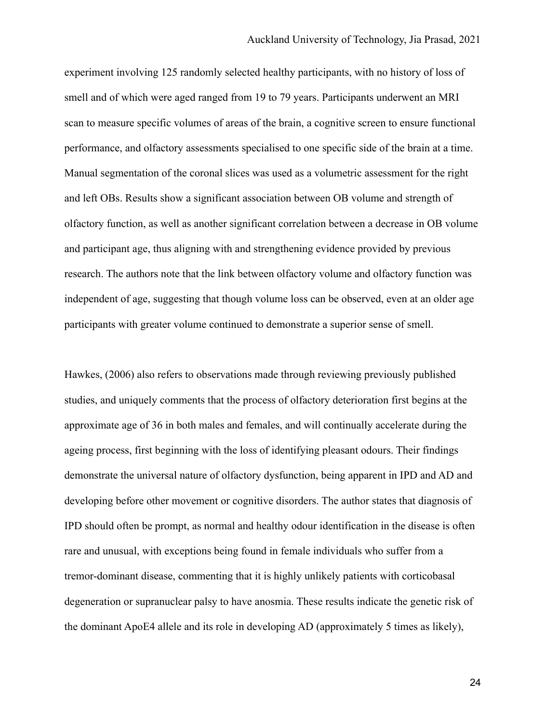experiment involving 125 randomly selected healthy participants, with no history of loss of smell and of which were aged ranged from 19 to 79 years. Participants underwent an MRI scan to measure specific volumes of areas of the brain, a cognitive screen to ensure functional performance, and olfactory assessments specialised to one specific side of the brain at a time. Manual segmentation of the coronal slices was used as a volumetric assessment for the right and left OBs. Results show a significant association between OB volume and strength of olfactory function, as well as another significant correlation between a decrease in OB volume and participant age, thus aligning with and strengthening evidence provided by previous research. The authors note that the link between olfactory volume and olfactory function was independent of age, suggesting that though volume loss can be observed, even at an older age participants with greater volume continued to demonstrate a superior sense of smell.

Hawkes, (2006) also refers to observations made through reviewing previously published studies, and uniquely comments that the process of olfactory deterioration first begins at the approximate age of 36 in both males and females, and will continually accelerate during the ageing process, first beginning with the loss of identifying pleasant odours. Their findings demonstrate the universal nature of olfactory dysfunction, being apparent in IPD and AD and developing before other movement or cognitive disorders. The author states that diagnosis of IPD should often be prompt, as normal and healthy odour identification in the disease is often rare and unusual, with exceptions being found in female individuals who suffer from a tremor-dominant disease, commenting that it is highly unlikely patients with corticobasal degeneration or supranuclear palsy to have anosmia. These results indicate the genetic risk of the dominant ApoE4 allele and its role in developing AD (approximately 5 times as likely),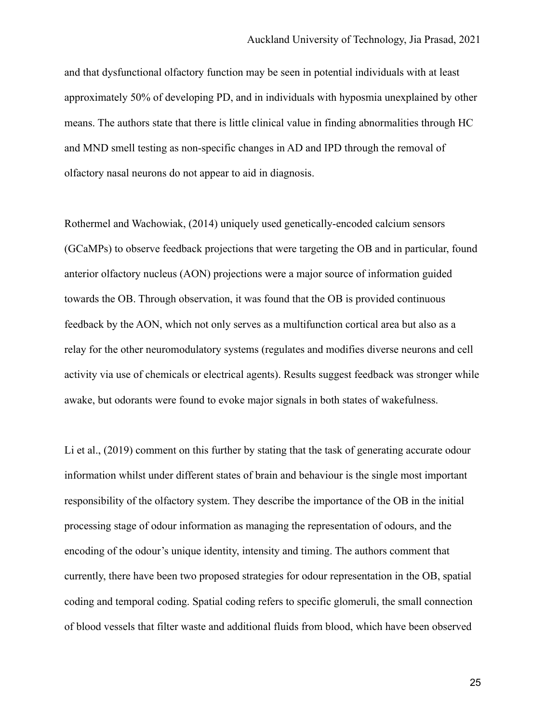and that dysfunctional olfactory function may be seen in potential individuals with at least approximately 50% of developing PD, and in individuals with hyposmia unexplained by other means. The authors state that there is little clinical value in finding abnormalities through HC and MND smell testing as non-specific changes in AD and IPD through the removal of olfactory nasal neurons do not appear to aid in diagnosis.

Rothermel and Wachowiak, (2014) uniquely used genetically-encoded calcium sensors (GCaMPs) to observe feedback projections that were targeting the OB and in particular, found anterior olfactory nucleus (AON) projections were a major source of information guided towards the OB. Through observation, it was found that the OB is provided continuous feedback by the AON, which not only serves as a multifunction cortical area but also as a relay for the other neuromodulatory systems (regulates and modifies diverse neurons and cell activity via use of chemicals or electrical agents). Results suggest feedback was stronger while awake, but odorants were found to evoke major signals in both states of wakefulness.

Li et al., (2019) comment on this further by stating that the task of generating accurate odour information whilst under different states of brain and behaviour is the single most important responsibility of the olfactory system. They describe the importance of the OB in the initial processing stage of odour information as managing the representation of odours, and the encoding of the odour's unique identity, intensity and timing. The authors comment that currently, there have been two proposed strategies for odour representation in the OB, spatial coding and temporal coding. Spatial coding refers to specific glomeruli, the small connection of blood vessels that filter waste and additional fluids from blood, which have been observed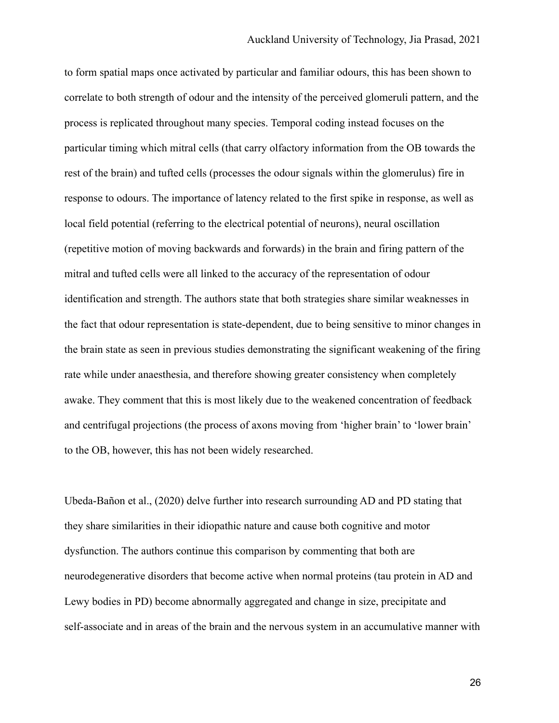to form spatial maps once activated by particular and familiar odours, this has been shown to correlate to both strength of odour and the intensity of the perceived glomeruli pattern, and the process is replicated throughout many species. Temporal coding instead focuses on the particular timing which mitral cells (that carry olfactory information from the OB towards the rest of the brain) and tufted cells (processes the odour signals within the glomerulus) fire in response to odours. The importance of latency related to the first spike in response, as well as local field potential (referring to the electrical potential of neurons), neural oscillation (repetitive motion of moving backwards and forwards) in the brain and firing pattern of the mitral and tufted cells were all linked to the accuracy of the representation of odour identification and strength. The authors state that both strategies share similar weaknesses in the fact that odour representation is state-dependent, due to being sensitive to minor changes in the brain state as seen in previous studies demonstrating the significant weakening of the firing rate while under anaesthesia, and therefore showing greater consistency when completely awake. They comment that this is most likely due to the weakened concentration of feedback and centrifugal projections (the process of axons moving from 'higher brain' to 'lower brain' to the OB, however, this has not been widely researched.

Ubeda-Bañon et al., (2020) delve further into research surrounding AD and PD stating that they share similarities in their idiopathic nature and cause both cognitive and motor dysfunction. The authors continue this comparison by commenting that both are neurodegenerative disorders that become active when normal proteins (tau protein in AD and Lewy bodies in PD) become abnormally aggregated and change in size, precipitate and self-associate and in areas of the brain and the nervous system in an accumulative manner with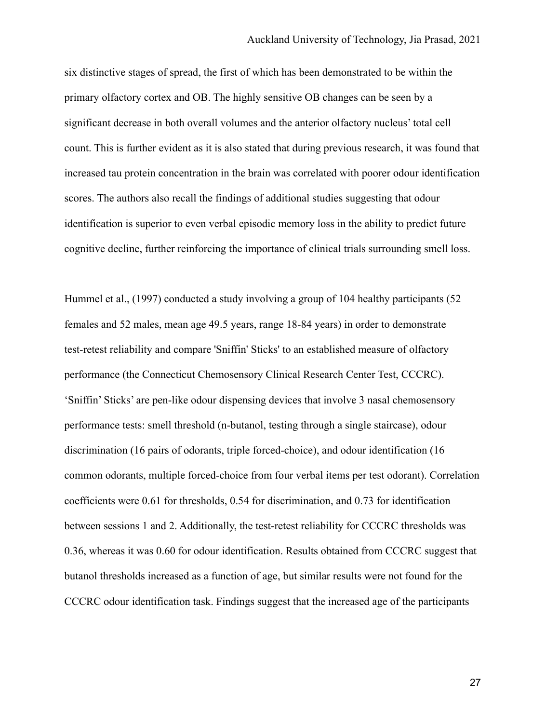six distinctive stages of spread, the first of which has been demonstrated to be within the primary olfactory cortex and OB. The highly sensitive OB changes can be seen by a significant decrease in both overall volumes and the anterior olfactory nucleus' total cell count. This is further evident as it is also stated that during previous research, it was found that increased tau protein concentration in the brain was correlated with poorer odour identification scores. The authors also recall the findings of additional studies suggesting that odour identification is superior to even verbal episodic memory loss in the ability to predict future cognitive decline, further reinforcing the importance of clinical trials surrounding smell loss.

Hummel et al., (1997) conducted a study involving a group of 104 healthy participants (52 females and 52 males, mean age 49.5 years, range 18-84 years) in order to demonstrate test-retest reliability and compare 'Sniffin' Sticks' to an established measure of olfactory performance (the Connecticut Chemosensory Clinical Research Center Test, CCCRC). 'Sniffin' Sticks' are pen-like odour dispensing devices that involve 3 nasal chemosensory performance tests: smell threshold (n-butanol, testing through a single staircase), odour discrimination (16 pairs of odorants, triple forced-choice), and odour identification (16 common odorants, multiple forced-choice from four verbal items per test odorant). Correlation coefficients were 0.61 for thresholds, 0.54 for discrimination, and 0.73 for identification between sessions 1 and 2. Additionally, the test-retest reliability for CCCRC thresholds was 0.36, whereas it was 0.60 for odour identification. Results obtained from CCCRC suggest that butanol thresholds increased as a function of age, but similar results were not found for the CCCRC odour identification task. Findings suggest that the increased age of the participants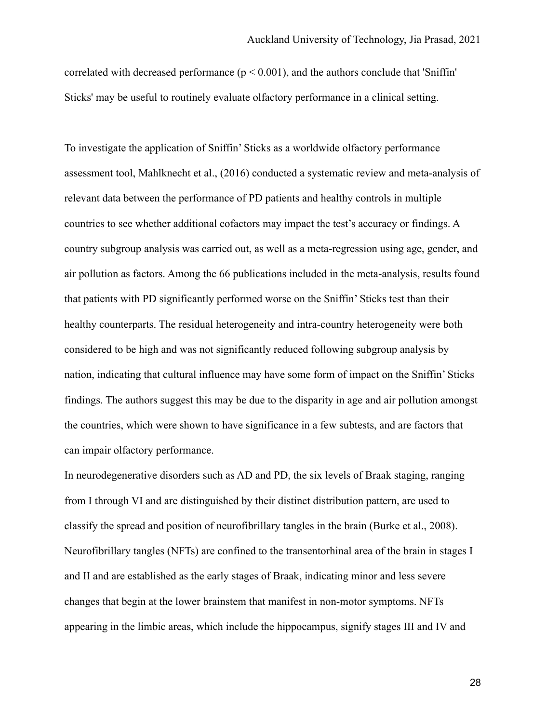correlated with decreased performance  $(p < 0.001)$ , and the authors conclude that 'Sniffin' Sticks' may be useful to routinely evaluate olfactory performance in a clinical setting.

To investigate the application of Sniffin' Sticks as a worldwide olfactory performance assessment tool, Mahlknecht et al., (2016) conducted a systematic review and meta-analysis of relevant data between the performance of PD patients and healthy controls in multiple countries to see whether additional cofactors may impact the test's accuracy or findings. A country subgroup analysis was carried out, as well as a meta-regression using age, gender, and air pollution as factors. Among the 66 publications included in the meta-analysis, results found that patients with PD significantly performed worse on the Sniffin' Sticks test than their healthy counterparts. The residual heterogeneity and intra-country heterogeneity were both considered to be high and was not significantly reduced following subgroup analysis by nation, indicating that cultural influence may have some form of impact on the Sniffin' Sticks findings. The authors suggest this may be due to the disparity in age and air pollution amongst the countries, which were shown to have significance in a few subtests, and are factors that can impair olfactory performance.

In neurodegenerative disorders such as AD and PD, the six levels of Braak staging, ranging from I through VI and are distinguished by their distinct distribution pattern, are used to classify the spread and position of neurofibrillary tangles in the brain (Burke et al., 2008). Neurofibrillary tangles (NFTs) are confined to the transentorhinal area of the brain in stages I and II and are established as the early stages of Braak, indicating minor and less severe changes that begin at the lower brainstem that manifest in non-motor symptoms. NFTs appearing in the limbic areas, which include the hippocampus, signify stages III and IV and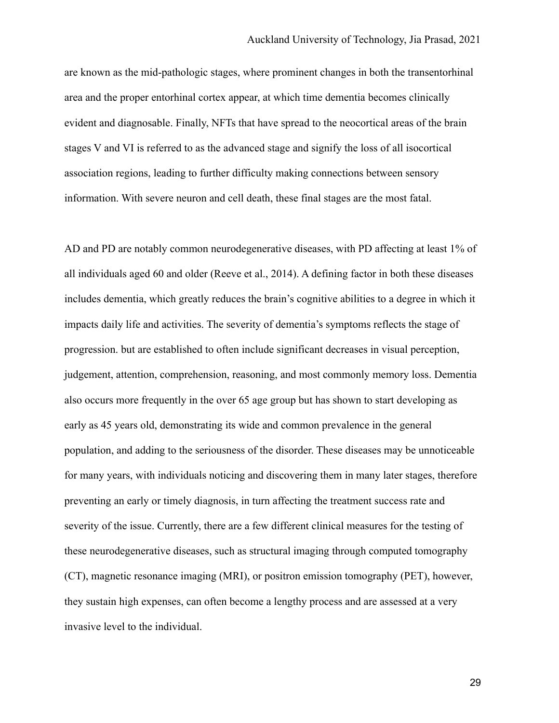are known as the mid-pathologic stages, where prominent changes in both the transentorhinal area and the proper entorhinal cortex appear, at which time dementia becomes clinically evident and diagnosable. Finally, NFTs that have spread to the neocortical areas of the brain stages V and VI is referred to as the advanced stage and signify the loss of all isocortical association regions, leading to further difficulty making connections between sensory information. With severe neuron and cell death, these final stages are the most fatal.

AD and PD are notably common neurodegenerative diseases, with PD affecting at least 1% of all individuals aged 60 and older (Reeve et al., 2014). A defining factor in both these diseases includes dementia, which greatly reduces the brain's cognitive abilities to a degree in which it impacts daily life and activities. The severity of dementia's symptoms reflects the stage of progression. but are established to often include significant decreases in visual perception, judgement, attention, comprehension, reasoning, and most commonly memory loss. Dementia also occurs more frequently in the over 65 age group but has shown to start developing as early as 45 years old, demonstrating its wide and common prevalence in the general population, and adding to the seriousness of the disorder. These diseases may be unnoticeable for many years, with individuals noticing and discovering them in many later stages, therefore preventing an early or timely diagnosis, in turn affecting the treatment success rate and severity of the issue. Currently, there are a few different clinical measures for the testing of these neurodegenerative diseases, such as structural imaging through computed tomography (CT), magnetic resonance imaging (MRI), or positron emission tomography (PET), however, they sustain high expenses, can often become a lengthy process and are assessed at a very invasive level to the individual.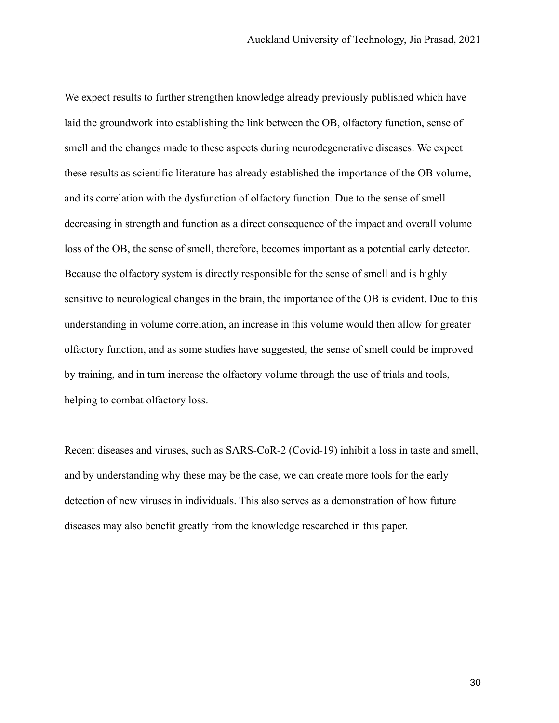We expect results to further strengthen knowledge already previously published which have laid the groundwork into establishing the link between the OB, olfactory function, sense of smell and the changes made to these aspects during neurodegenerative diseases. We expect these results as scientific literature has already established the importance of the OB volume, and its correlation with the dysfunction of olfactory function. Due to the sense of smell decreasing in strength and function as a direct consequence of the impact and overall volume loss of the OB, the sense of smell, therefore, becomes important as a potential early detector. Because the olfactory system is directly responsible for the sense of smell and is highly sensitive to neurological changes in the brain, the importance of the OB is evident. Due to this understanding in volume correlation, an increase in this volume would then allow for greater olfactory function, and as some studies have suggested, the sense of smell could be improved by training, and in turn increase the olfactory volume through the use of trials and tools, helping to combat olfactory loss.

Recent diseases and viruses, such as SARS-CoR-2 (Covid-19) inhibit a loss in taste and smell, and by understanding why these may be the case, we can create more tools for the early detection of new viruses in individuals. This also serves as a demonstration of how future diseases may also benefit greatly from the knowledge researched in this paper.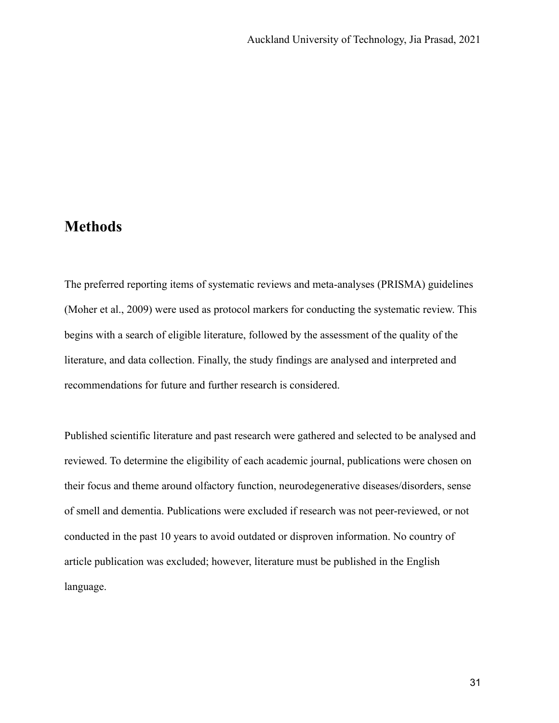#### **Methods**

The preferred reporting items of systematic reviews and meta-analyses (PRISMA) guidelines (Moher et al., 2009) were used as protocol markers for conducting the systematic review. This begins with a search of eligible literature, followed by the assessment of the quality of the literature, and data collection. Finally, the study findings are analysed and interpreted and recommendations for future and further research is considered.

Published scientific literature and past research were gathered and selected to be analysed and reviewed. To determine the eligibility of each academic journal, publications were chosen on their focus and theme around olfactory function, neurodegenerative diseases/disorders, sense of smell and dementia. Publications were excluded if research was not peer-reviewed, or not conducted in the past 10 years to avoid outdated or disproven information. No country of article publication was excluded; however, literature must be published in the English language.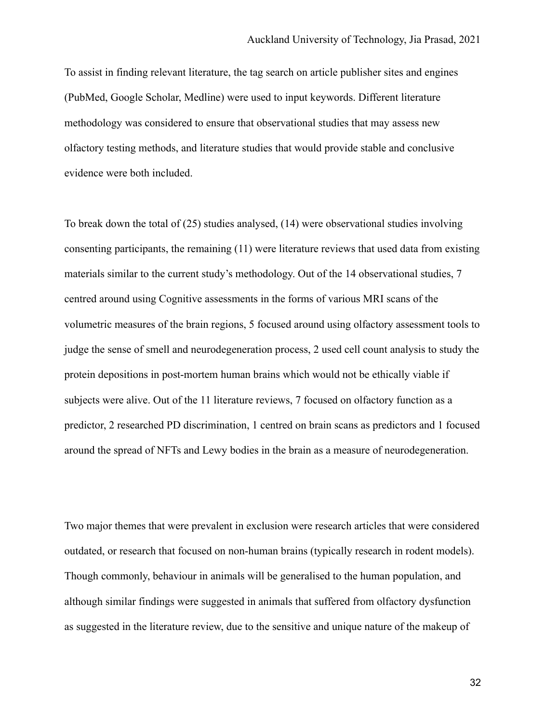To assist in finding relevant literature, the tag search on article publisher sites and engines (PubMed, Google Scholar, Medline) were used to input keywords. Different literature methodology was considered to ensure that observational studies that may assess new olfactory testing methods, and literature studies that would provide stable and conclusive evidence were both included.

To break down the total of (25) studies analysed, (14) were observational studies involving consenting participants, the remaining (11) were literature reviews that used data from existing materials similar to the current study's methodology. Out of the 14 observational studies, 7 centred around using Cognitive assessments in the forms of various MRI scans of the volumetric measures of the brain regions, 5 focused around using olfactory assessment tools to judge the sense of smell and neurodegeneration process, 2 used cell count analysis to study the protein depositions in post-mortem human brains which would not be ethically viable if subjects were alive. Out of the 11 literature reviews, 7 focused on olfactory function as a predictor, 2 researched PD discrimination, 1 centred on brain scans as predictors and 1 focused around the spread of NFTs and Lewy bodies in the brain as a measure of neurodegeneration.

Two major themes that were prevalent in exclusion were research articles that were considered outdated, or research that focused on non-human brains (typically research in rodent models). Though commonly, behaviour in animals will be generalised to the human population, and although similar findings were suggested in animals that suffered from olfactory dysfunction as suggested in the literature review, due to the sensitive and unique nature of the makeup of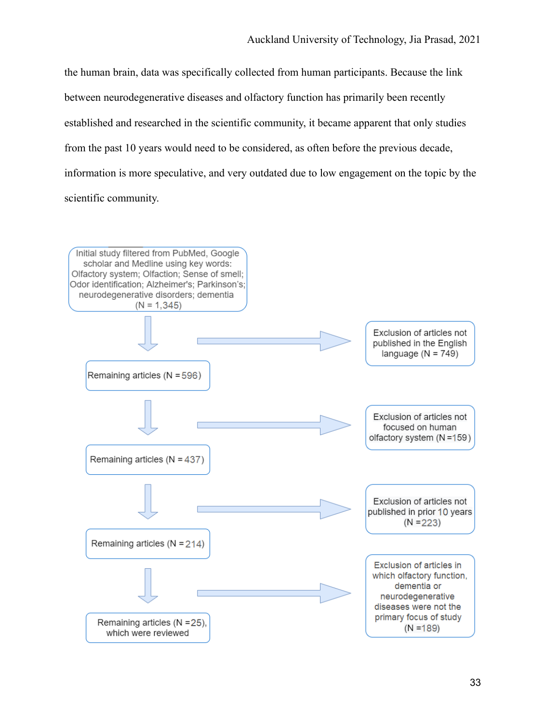the human brain, data was specifically collected from human participants. Because the link between neurodegenerative diseases and olfactory function has primarily been recently established and researched in the scientific community, it became apparent that only studies from the past 10 years would need to be considered, as often before the previous decade, information is more speculative, and very outdated due to low engagement on the topic by the scientific community.

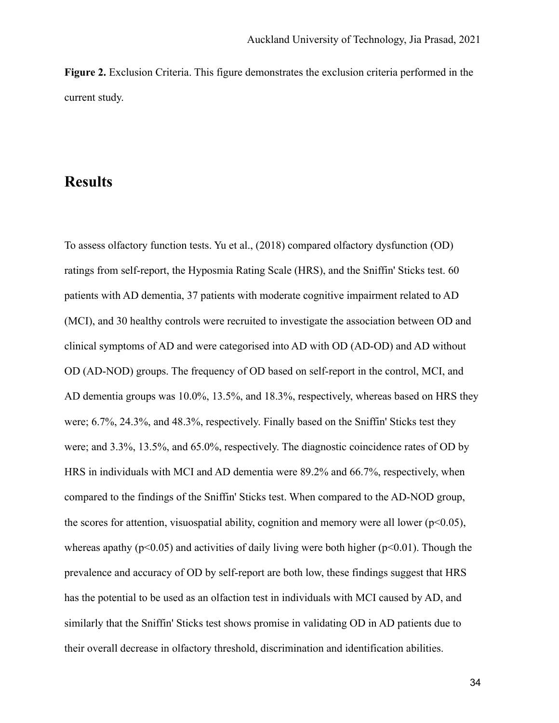**Figure 2.** Exclusion Criteria. This figure demonstrates the exclusion criteria performed in the current study.

### **Results**

To assess olfactory function tests. Yu et al., (2018) compared olfactory dysfunction (OD) ratings from self-report, the Hyposmia Rating Scale (HRS), and the Sniffin' Sticks test. 60 patients with AD dementia, 37 patients with moderate cognitive impairment related to AD (MCI), and 30 healthy controls were recruited to investigate the association between OD and clinical symptoms of AD and were categorised into AD with OD (AD-OD) and AD without OD (AD-NOD) groups. The frequency of OD based on self-report in the control, MCI, and AD dementia groups was 10.0%, 13.5%, and 18.3%, respectively, whereas based on HRS they were; 6.7%, 24.3%, and 48.3%, respectively. Finally based on the Sniffin' Sticks test they were; and 3.3%, 13.5%, and 65.0%, respectively. The diagnostic coincidence rates of OD by HRS in individuals with MCI and AD dementia were 89.2% and 66.7%, respectively, when compared to the findings of the Sniffin' Sticks test. When compared to the AD-NOD group, the scores for attention, visuospatial ability, cognition and memory were all lower ( $p<0.05$ ), whereas apathy ( $p<0.05$ ) and activities of daily living were both higher ( $p<0.01$ ). Though the prevalence and accuracy of OD by self-report are both low, these findings suggest that HRS has the potential to be used as an olfaction test in individuals with MCI caused by AD, and similarly that the Sniffin' Sticks test shows promise in validating OD in AD patients due to their overall decrease in olfactory threshold, discrimination and identification abilities.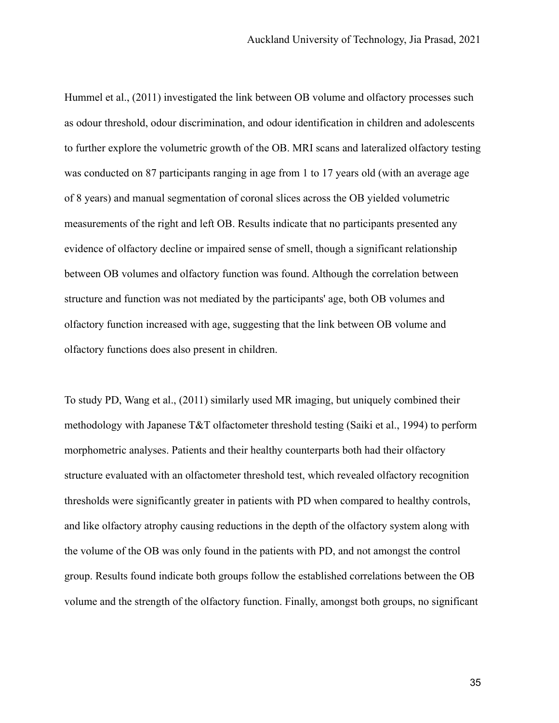Hummel et al., (2011) investigated the link between OB volume and olfactory processes such as odour threshold, odour discrimination, and odour identification in children and adolescents to further explore the volumetric growth of the OB. MRI scans and lateralized olfactory testing was conducted on 87 participants ranging in age from 1 to 17 years old (with an average age of 8 years) and manual segmentation of coronal slices across the OB yielded volumetric measurements of the right and left OB. Results indicate that no participants presented any evidence of olfactory decline or impaired sense of smell, though a significant relationship between OB volumes and olfactory function was found. Although the correlation between structure and function was not mediated by the participants' age, both OB volumes and olfactory function increased with age, suggesting that the link between OB volume and olfactory functions does also present in children.

To study PD, Wang et al., (2011) similarly used MR imaging, but uniquely combined their methodology with Japanese T&T olfactometer threshold testing (Saiki et al., 1994) to perform morphometric analyses. Patients and their healthy counterparts both had their olfactory structure evaluated with an olfactometer threshold test, which revealed olfactory recognition thresholds were significantly greater in patients with PD when compared to healthy controls, and like olfactory atrophy causing reductions in the depth of the olfactory system along with the volume of the OB was only found in the patients with PD, and not amongst the control group. Results found indicate both groups follow the established correlations between the OB volume and the strength of the olfactory function. Finally, amongst both groups, no significant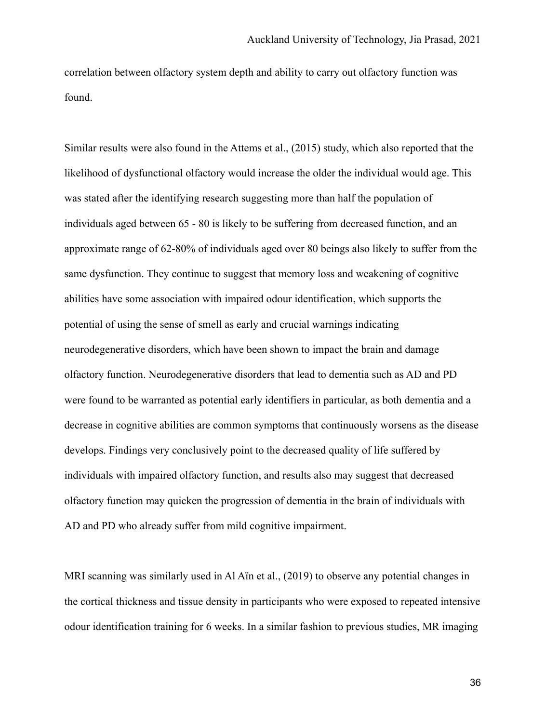correlation between olfactory system depth and ability to carry out olfactory function was found.

Similar results were also found in the Attems et al., (2015) study, which also reported that the likelihood of dysfunctional olfactory would increase the older the individual would age. This was stated after the identifying research suggesting more than half the population of individuals aged between 65 - 80 is likely to be suffering from decreased function, and an approximate range of 62-80% of individuals aged over 80 beings also likely to suffer from the same dysfunction. They continue to suggest that memory loss and weakening of cognitive abilities have some association with impaired odour identification, which supports the potential of using the sense of smell as early and crucial warnings indicating neurodegenerative disorders, which have been shown to impact the brain and damage olfactory function. Neurodegenerative disorders that lead to dementia such as AD and PD were found to be warranted as potential early identifiers in particular, as both dementia and a decrease in cognitive abilities are common symptoms that continuously worsens as the disease develops. Findings very conclusively point to the decreased quality of life suffered by individuals with impaired olfactory function, and results also may suggest that decreased olfactory function may quicken the progression of dementia in the brain of individuals with AD and PD who already suffer from mild cognitive impairment.

MRI scanning was similarly used in Al Aïn et al., (2019) to observe any potential changes in the cortical thickness and tissue density in participants who were exposed to repeated intensive odour identification training for 6 weeks. In a similar fashion to previous studies, MR imaging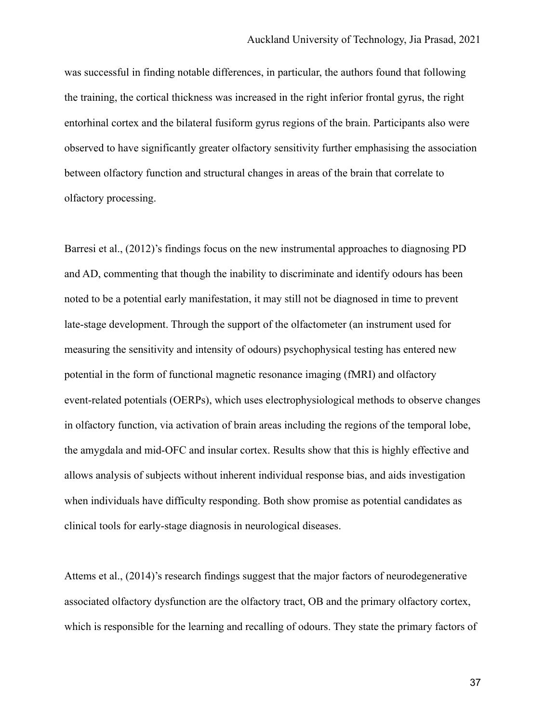was successful in finding notable differences, in particular, the authors found that following the training, the cortical thickness was increased in the right inferior frontal gyrus, the right entorhinal cortex and the bilateral fusiform gyrus regions of the brain. Participants also were observed to have significantly greater olfactory sensitivity further emphasising the association between olfactory function and structural changes in areas of the brain that correlate to olfactory processing.

Barresi et al., (2012)'s findings focus on the new instrumental approaches to diagnosing PD and AD, commenting that though the inability to discriminate and identify odours has been noted to be a potential early manifestation, it may still not be diagnosed in time to prevent late-stage development. Through the support of the olfactometer (an instrument used for measuring the sensitivity and intensity of odours) psychophysical testing has entered new potential in the form of functional magnetic resonance imaging (fMRI) and olfactory event-related potentials (OERPs), which uses electrophysiological methods to observe changes in olfactory function, via activation of brain areas including the regions of the temporal lobe, the amygdala and mid-OFC and insular cortex. Results show that this is highly effective and allows analysis of subjects without inherent individual response bias, and aids investigation when individuals have difficulty responding. Both show promise as potential candidates as clinical tools for early-stage diagnosis in neurological diseases.

Attems et al., (2014)'s research findings suggest that the major factors of neurodegenerative associated olfactory dysfunction are the olfactory tract, OB and the primary olfactory cortex, which is responsible for the learning and recalling of odours. They state the primary factors of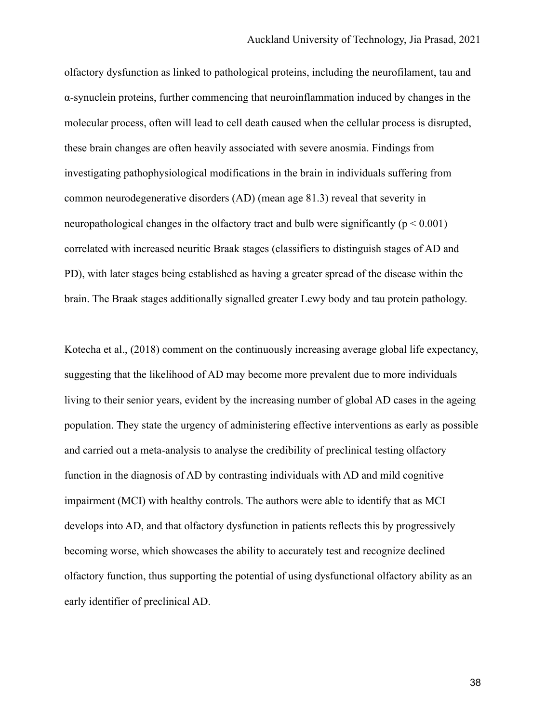olfactory dysfunction as linked to pathological proteins, including the neurofilament, tau and α-synuclein proteins, further commencing that neuroinflammation induced by changes in the molecular process, often will lead to cell death caused when the cellular process is disrupted, these brain changes are often heavily associated with severe anosmia. Findings from investigating pathophysiological modifications in the brain in individuals suffering from common neurodegenerative disorders (AD) (mean age 81.3) reveal that severity in neuropathological changes in the olfactory tract and bulb were significantly ( $p < 0.001$ ) correlated with increased neuritic Braak stages (classifiers to distinguish stages of AD and PD), with later stages being established as having a greater spread of the disease within the brain. The Braak stages additionally signalled greater Lewy body and tau protein pathology.

Kotecha et al., (2018) comment on the continuously increasing average global life expectancy, suggesting that the likelihood of AD may become more prevalent due to more individuals living to their senior years, evident by the increasing number of global AD cases in the ageing population. They state the urgency of administering effective interventions as early as possible and carried out a meta-analysis to analyse the credibility of preclinical testing olfactory function in the diagnosis of AD by contrasting individuals with AD and mild cognitive impairment (MCI) with healthy controls. The authors were able to identify that as MCI develops into AD, and that olfactory dysfunction in patients reflects this by progressively becoming worse, which showcases the ability to accurately test and recognize declined olfactory function, thus supporting the potential of using dysfunctional olfactory ability as an early identifier of preclinical AD.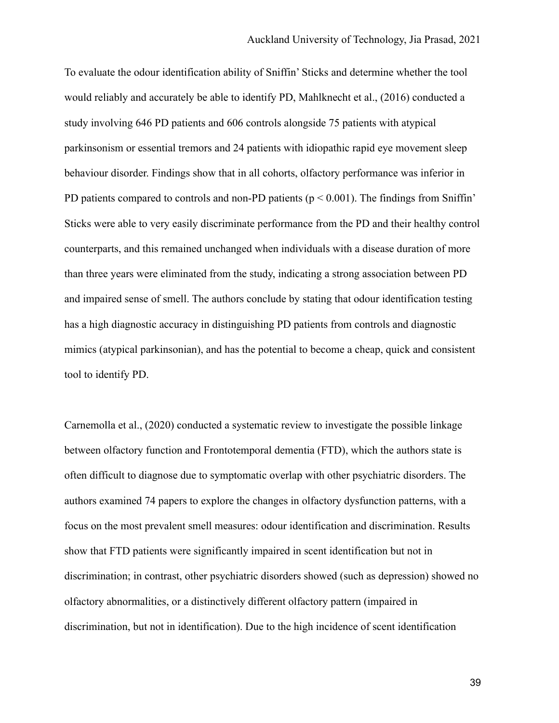To evaluate the odour identification ability of Sniffin' Sticks and determine whether the tool would reliably and accurately be able to identify PD, Mahlknecht et al., (2016) conducted a study involving 646 PD patients and 606 controls alongside 75 patients with atypical parkinsonism or essential tremors and 24 patients with idiopathic rapid eye movement sleep behaviour disorder. Findings show that in all cohorts, olfactory performance was inferior in PD patients compared to controls and non-PD patients ( $p < 0.001$ ). The findings from Sniffin' Sticks were able to very easily discriminate performance from the PD and their healthy control counterparts, and this remained unchanged when individuals with a disease duration of more than three years were eliminated from the study, indicating a strong association between PD and impaired sense of smell. The authors conclude by stating that odour identification testing has a high diagnostic accuracy in distinguishing PD patients from controls and diagnostic mimics (atypical parkinsonian), and has the potential to become a cheap, quick and consistent tool to identify PD.

Carnemolla et al., (2020) conducted a systematic review to investigate the possible linkage between olfactory function and Frontotemporal dementia (FTD), which the authors state is often difficult to diagnose due to symptomatic overlap with other psychiatric disorders. The authors examined 74 papers to explore the changes in olfactory dysfunction patterns, with a focus on the most prevalent smell measures: odour identification and discrimination. Results show that FTD patients were significantly impaired in scent identification but not in discrimination; in contrast, other psychiatric disorders showed (such as depression) showed no olfactory abnormalities, or a distinctively different olfactory pattern (impaired in discrimination, but not in identification). Due to the high incidence of scent identification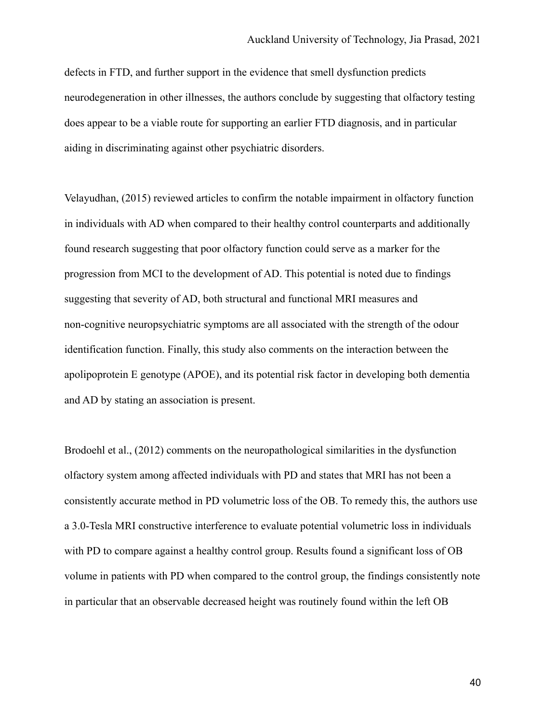defects in FTD, and further support in the evidence that smell dysfunction predicts neurodegeneration in other illnesses, the authors conclude by suggesting that olfactory testing does appear to be a viable route for supporting an earlier FTD diagnosis, and in particular aiding in discriminating against other psychiatric disorders.

Velayudhan, (2015) reviewed articles to confirm the notable impairment in olfactory function in individuals with AD when compared to their healthy control counterparts and additionally found research suggesting that poor olfactory function could serve as a marker for the progression from MCI to the development of AD. This potential is noted due to findings suggesting that severity of AD, both structural and functional MRI measures and non-cognitive neuropsychiatric symptoms are all associated with the strength of the odour identification function. Finally, this study also comments on the interaction between the apolipoprotein E genotype (APOE), and its potential risk factor in developing both dementia and AD by stating an association is present.

Brodoehl et al., (2012) comments on the neuropathological similarities in the dysfunction olfactory system among affected individuals with PD and states that MRI has not been a consistently accurate method in PD volumetric loss of the OB. To remedy this, the authors use a 3.0-Tesla MRI constructive interference to evaluate potential volumetric loss in individuals with PD to compare against a healthy control group. Results found a significant loss of OB volume in patients with PD when compared to the control group, the findings consistently note in particular that an observable decreased height was routinely found within the left OB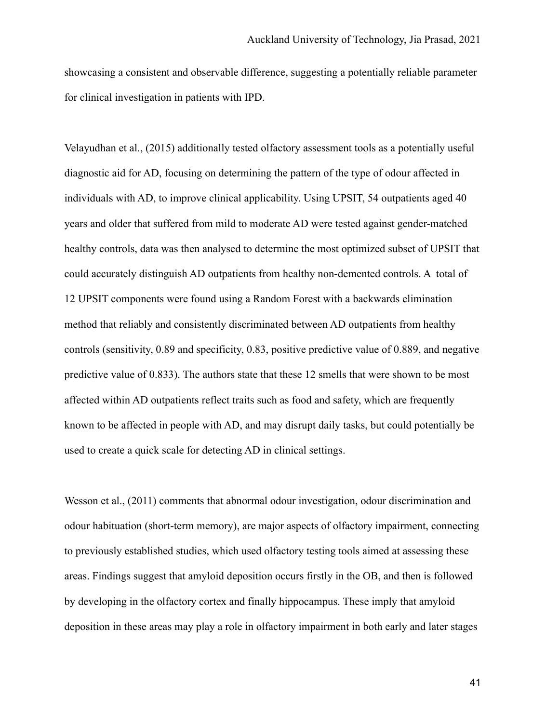showcasing a consistent and observable difference, suggesting a potentially reliable parameter for clinical investigation in patients with IPD.

Velayudhan et al., (2015) additionally tested olfactory assessment tools as a potentially useful diagnostic aid for AD, focusing on determining the pattern of the type of odour affected in individuals with AD, to improve clinical applicability. Using UPSIT, 54 outpatients aged 40 years and older that suffered from mild to moderate AD were tested against gender-matched healthy controls, data was then analysed to determine the most optimized subset of UPSIT that could accurately distinguish AD outpatients from healthy non-demented controls. A total of 12 UPSIT components were found using a Random Forest with a backwards elimination method that reliably and consistently discriminated between AD outpatients from healthy controls (sensitivity, 0.89 and specificity, 0.83, positive predictive value of 0.889, and negative predictive value of 0.833). The authors state that these 12 smells that were shown to be most affected within AD outpatients reflect traits such as food and safety, which are frequently known to be affected in people with AD, and may disrupt daily tasks, but could potentially be used to create a quick scale for detecting AD in clinical settings.

Wesson et al., (2011) comments that abnormal odour investigation, odour discrimination and odour habituation (short-term memory), are major aspects of olfactory impairment, connecting to previously established studies, which used olfactory testing tools aimed at assessing these areas. Findings suggest that amyloid deposition occurs firstly in the OB, and then is followed by developing in the olfactory cortex and finally hippocampus. These imply that amyloid deposition in these areas may play a role in olfactory impairment in both early and later stages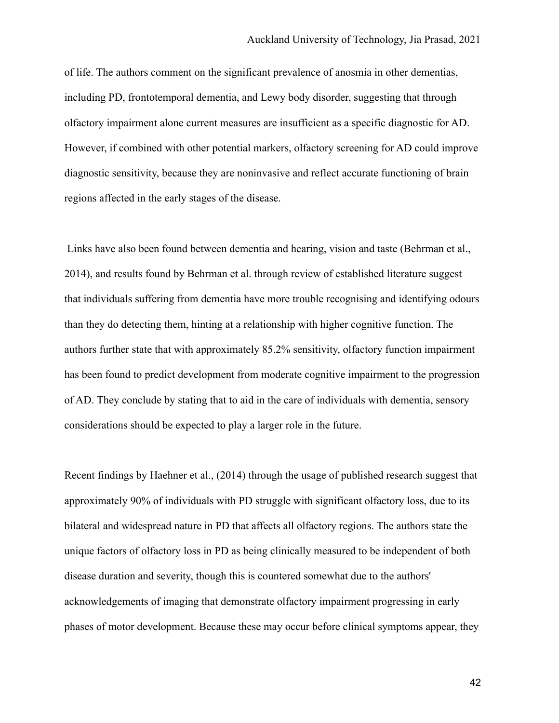of life. The authors comment on the significant prevalence of anosmia in other dementias, including PD, frontotemporal dementia, and Lewy body disorder, suggesting that through olfactory impairment alone current measures are insufficient as a specific diagnostic for AD. However, if combined with other potential markers, olfactory screening for AD could improve diagnostic sensitivity, because they are noninvasive and reflect accurate functioning of brain regions affected in the early stages of the disease.

Links have also been found between dementia and hearing, vision and taste (Behrman et al., 2014), and results found by Behrman et al. through review of established literature suggest that individuals suffering from dementia have more trouble recognising and identifying odours than they do detecting them, hinting at a relationship with higher cognitive function. The authors further state that with approximately 85.2% sensitivity, olfactory function impairment has been found to predict development from moderate cognitive impairment to the progression of AD. They conclude by stating that to aid in the care of individuals with dementia, sensory considerations should be expected to play a larger role in the future.

Recent findings by Haehner et al., (2014) through the usage of published research suggest that approximately 90% of individuals with PD struggle with significant olfactory loss, due to its bilateral and widespread nature in PD that affects all olfactory regions. The authors state the unique factors of olfactory loss in PD as being clinically measured to be independent of both disease duration and severity, though this is countered somewhat due to the authors' acknowledgements of imaging that demonstrate olfactory impairment progressing in early phases of motor development. Because these may occur before clinical symptoms appear, they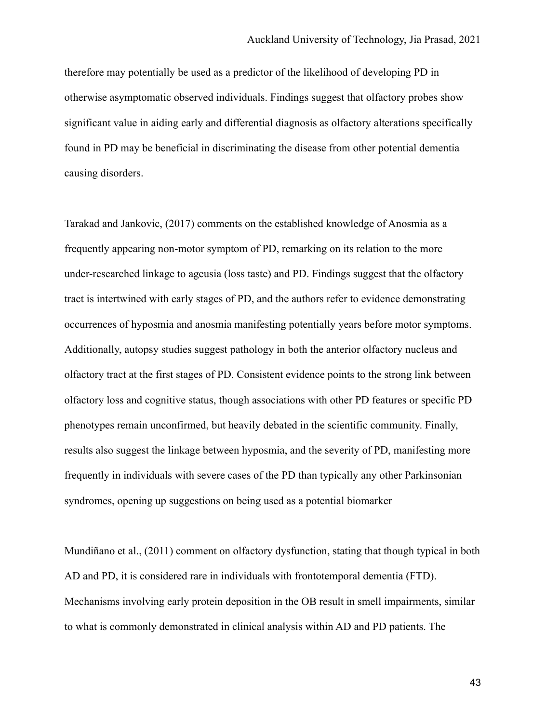therefore may potentially be used as a predictor of the likelihood of developing PD in otherwise asymptomatic observed individuals. Findings suggest that olfactory probes show significant value in aiding early and differential diagnosis as olfactory alterations specifically found in PD may be beneficial in discriminating the disease from other potential dementia causing disorders.

Tarakad and Jankovic, (2017) comments on the established knowledge of Anosmia as a frequently appearing non-motor symptom of PD, remarking on its relation to the more under-researched linkage to ageusia (loss taste) and PD. Findings suggest that the olfactory tract is intertwined with early stages of PD, and the authors refer to evidence demonstrating occurrences of hyposmia and anosmia manifesting potentially years before motor symptoms. Additionally, autopsy studies suggest pathology in both the anterior olfactory nucleus and olfactory tract at the first stages of PD. Consistent evidence points to the strong link between olfactory loss and cognitive status, though associations with other PD features or specific PD phenotypes remain unconfirmed, but heavily debated in the scientific community. Finally, results also suggest the linkage between hyposmia, and the severity of PD, manifesting more frequently in individuals with severe cases of the PD than typically any other Parkinsonian syndromes, opening up suggestions on being used as a potential biomarker

Mundiñano et al., (2011) comment on olfactory dysfunction, stating that though typical in both AD and PD, it is considered rare in individuals with frontotemporal dementia (FTD). Mechanisms involving early protein deposition in the OB result in smell impairments, similar to what is commonly demonstrated in clinical analysis within AD and PD patients. The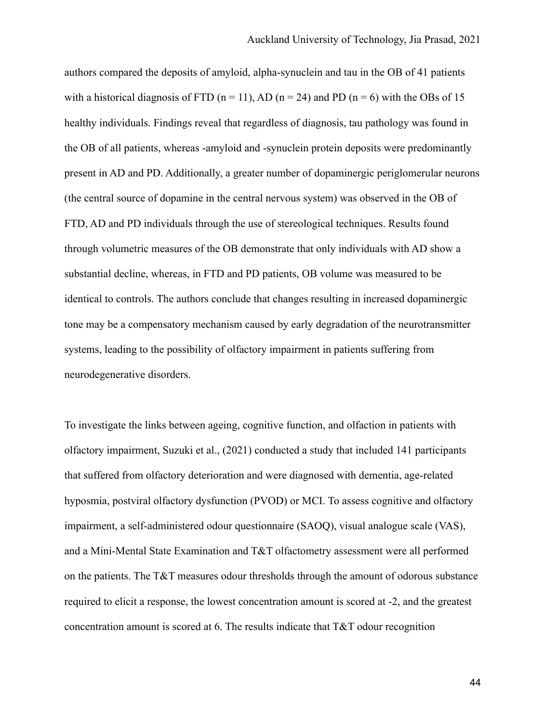authors compared the deposits of amyloid, alpha-synuclein and tau in the OB of 41 patients with a historical diagnosis of FTD ( $n = 11$ ), AD ( $n = 24$ ) and PD ( $n = 6$ ) with the OBs of 15 healthy individuals. Findings reveal that regardless of diagnosis, tau pathology was found in the OB of all patients, whereas -amyloid and -synuclein protein deposits were predominantly present in AD and PD. Additionally, a greater number of dopaminergic periglomerular neurons (the central source of dopamine in the central nervous system) was observed in the OB of FTD, AD and PD individuals through the use of stereological techniques. Results found through volumetric measures of the OB demonstrate that only individuals with AD show a substantial decline, whereas, in FTD and PD patients, OB volume was measured to be identical to controls. The authors conclude that changes resulting in increased dopaminergic tone may be a compensatory mechanism caused by early degradation of the neurotransmitter systems, leading to the possibility of olfactory impairment in patients suffering from neurodegenerative disorders.

To investigate the links between ageing, cognitive function, and olfaction in patients with olfactory impairment, Suzuki et al., (2021) conducted a study that included 141 participants that suffered from olfactory deterioration and were diagnosed with dementia, age-related hyposmia, postviral olfactory dysfunction (PVOD) or MCI. To assess cognitive and olfactory impairment, a self-administered odour questionnaire (SAOQ), visual analogue scale (VAS), and a Mini-Mental State Examination and T&T olfactometry assessment were all performed on the patients. The T&T measures odour thresholds through the amount of odorous substance required to elicit a response, the lowest concentration amount is scored at -2, and the greatest concentration amount is scored at 6. The results indicate that T&T odour recognition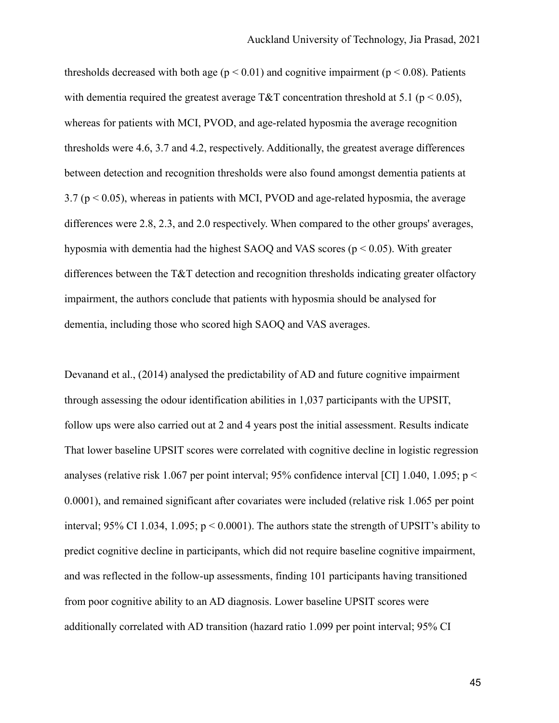thresholds decreased with both age ( $p < 0.01$ ) and cognitive impairment ( $p < 0.08$ ). Patients with dementia required the greatest average T&T concentration threshold at 5.1 ( $p < 0.05$ ), whereas for patients with MCI, PVOD, and age-related hyposmia the average recognition thresholds were 4.6, 3.7 and 4.2, respectively. Additionally, the greatest average differences between detection and recognition thresholds were also found amongst dementia patients at  $3.7$  ( $p < 0.05$ ), whereas in patients with MCI, PVOD and age-related hyposmia, the average differences were 2.8, 2.3, and 2.0 respectively. When compared to the other groups' averages, hyposmia with dementia had the highest SAOQ and VAS scores (p < 0.05). With greater differences between the T&T detection and recognition thresholds indicating greater olfactory impairment, the authors conclude that patients with hyposmia should be analysed for dementia, including those who scored high SAOQ and VAS averages.

Devanand et al., (2014) analysed the predictability of AD and future cognitive impairment through assessing the odour identification abilities in 1,037 participants with the UPSIT, follow ups were also carried out at 2 and 4 years post the initial assessment. Results indicate That lower baseline UPSIT scores were correlated with cognitive decline in logistic regression analyses (relative risk 1.067 per point interval; 95% confidence interval [CI] 1.040, 1.095; p < 0.0001), and remained significant after covariates were included (relative risk 1.065 per point interval; 95% CI 1.034, 1.095;  $p < 0.0001$ ). The authors state the strength of UPSIT's ability to predict cognitive decline in participants, which did not require baseline cognitive impairment, and was reflected in the follow-up assessments, finding 101 participants having transitioned from poor cognitive ability to an AD diagnosis. Lower baseline UPSIT scores were additionally correlated with AD transition (hazard ratio 1.099 per point interval; 95% CI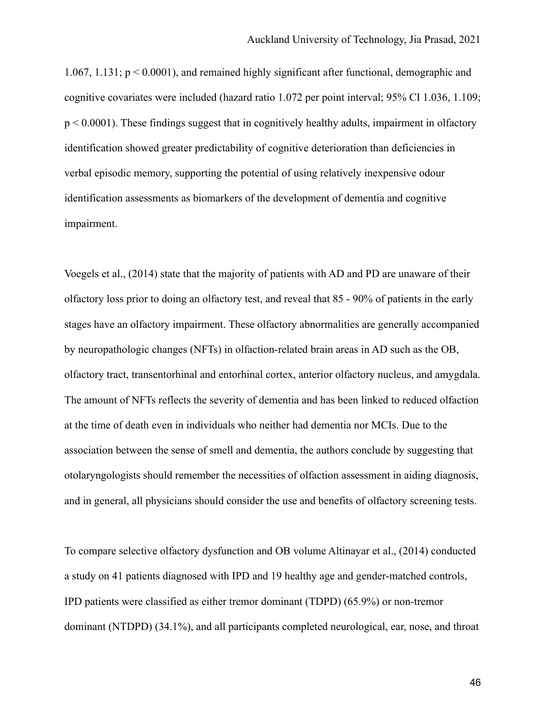1.067, 1.131;  $p \le 0.0001$ ), and remained highly significant after functional, demographic and cognitive covariates were included (hazard ratio 1.072 per point interval; 95% CI 1.036, 1.109;  $p \le 0.0001$ ). These findings suggest that in cognitively healthy adults, impairment in olfactory identification showed greater predictability of cognitive deterioration than deficiencies in verbal episodic memory, supporting the potential of using relatively inexpensive odour identification assessments as biomarkers of the development of dementia and cognitive impairment.

Voegels et al., (2014) state that the majority of patients with AD and PD are unaware of their olfactory loss prior to doing an olfactory test, and reveal that 85 - 90% of patients in the early stages have an olfactory impairment. These olfactory abnormalities are generally accompanied by neuropathologic changes (NFTs) in olfaction-related brain areas in AD such as the OB, olfactory tract, transentorhinal and entorhinal cortex, anterior olfactory nucleus, and amygdala. The amount of NFTs reflects the severity of dementia and has been linked to reduced olfaction at the time of death even in individuals who neither had dementia nor MCIs. Due to the association between the sense of smell and dementia, the authors conclude by suggesting that otolaryngologists should remember the necessities of olfaction assessment in aiding diagnosis, and in general, all physicians should consider the use and benefits of olfactory screening tests.

To compare selective olfactory dysfunction and OB volume Altinayar et al., (2014) conducted a study on 41 patients diagnosed with IPD and 19 healthy age and gender-matched controls, IPD patients were classified as either tremor dominant (TDPD) (65.9%) or non-tremor dominant (NTDPD) (34.1%), and all participants completed neurological, ear, nose, and throat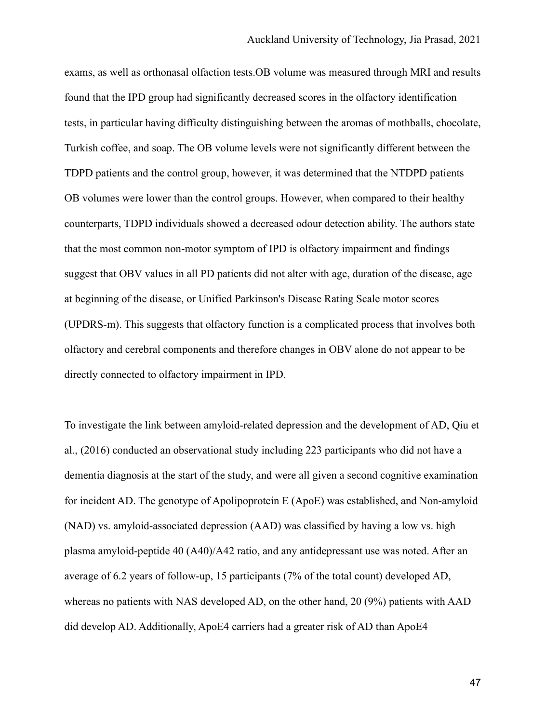exams, as well as orthonasal olfaction tests.OB volume was measured through MRI and results found that the IPD group had significantly decreased scores in the olfactory identification tests, in particular having difficulty distinguishing between the aromas of mothballs, chocolate, Turkish coffee, and soap. The OB volume levels were not significantly different between the TDPD patients and the control group, however, it was determined that the NTDPD patients OB volumes were lower than the control groups. However, when compared to their healthy counterparts, TDPD individuals showed a decreased odour detection ability. The authors state that the most common non-motor symptom of IPD is olfactory impairment and findings suggest that OBV values in all PD patients did not alter with age, duration of the disease, age at beginning of the disease, or Unified Parkinson's Disease Rating Scale motor scores (UPDRS-m). This suggests that olfactory function is a complicated process that involves both olfactory and cerebral components and therefore changes in OBV alone do not appear to be directly connected to olfactory impairment in IPD.

To investigate the link between amyloid-related depression and the development of AD, Qiu et al., (2016) conducted an observational study including 223 participants who did not have a dementia diagnosis at the start of the study, and were all given a second cognitive examination for incident AD. The genotype of Apolipoprotein E (ApoE) was established, and Non-amyloid (NAD) vs. amyloid-associated depression (AAD) was classified by having a low vs. high plasma amyloid-peptide 40 (A40)/A42 ratio, and any antidepressant use was noted. After an average of 6.2 years of follow-up, 15 participants (7% of the total count) developed AD, whereas no patients with NAS developed AD, on the other hand, 20 (9%) patients with AAD did develop AD. Additionally, ApoE4 carriers had a greater risk of AD than ApoE4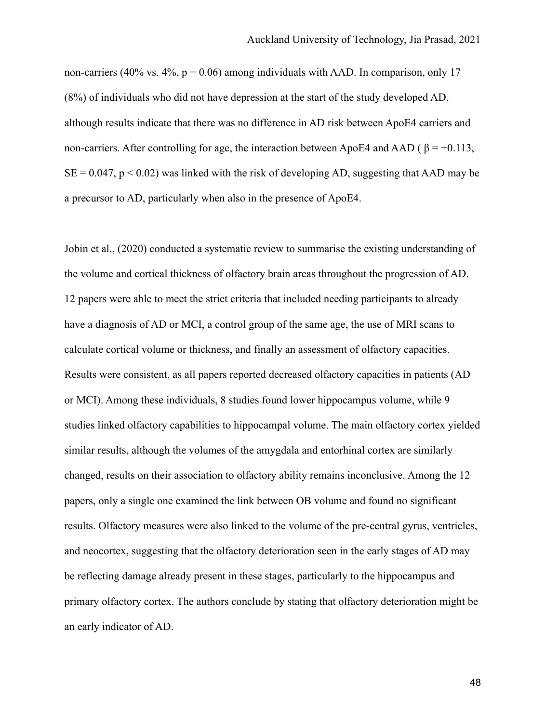non-carriers (40% vs. 4%,  $p = 0.06$ ) among individuals with AAD. In comparison, only 17 (8%) of individuals who did not have depression at the start of the study developed AD, although results indicate that there was no difference in AD risk between ApoE4 carriers and non-carriers. After controlling for age, the interaction between ApoE4 and AAD ( $\beta$  = +0.113,  $SE = 0.047$ ,  $p < 0.02$ ) was linked with the risk of developing AD, suggesting that AAD may be a precursor to AD, particularly when also in the presence of ApoE4.

Jobin et al., (2020) conducted a systematic review to summarise the existing understanding of the volume and cortical thickness of olfactory brain areas throughout the progression of AD. 12 papers were able to meet the strict criteria that included needing participants to already have a diagnosis of AD or MCI, a control group of the same age, the use of MRI scans to calculate cortical volume or thickness, and finally an assessment of olfactory capacities. Results were consistent, as all papers reported decreased olfactory capacities in patients (AD or MCI). Among these individuals, 8 studies found lower hippocampus volume, while 9 studies linked olfactory capabilities to hippocampal volume. The main olfactory cortex yielded similar results, although the volumes of the amygdala and entorhinal cortex are similarly changed, results on their association to olfactory ability remains inconclusive. Among the 12 papers, only a single one examined the link between OB volume and found no significant results. Olfactory measures were also linked to the volume of the pre-central gyrus, ventricles, and neocortex, suggesting that the olfactory deterioration seen in the early stages of AD may be reflecting damage already present in these stages, particularly to the hippocampus and primary olfactory cortex. The authors conclude by stating that olfactory deterioration might be an early indicator of AD.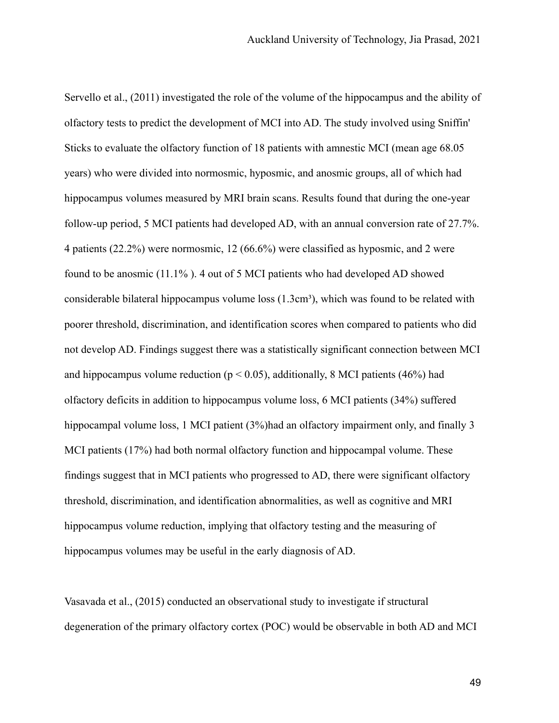Servello et al., (2011) investigated the role of the volume of the hippocampus and the ability of olfactory tests to predict the development of MCI into AD. The study involved using Sniffin' Sticks to evaluate the olfactory function of 18 patients with amnestic MCI (mean age 68.05 years) who were divided into normosmic, hyposmic, and anosmic groups, all of which had hippocampus volumes measured by MRI brain scans. Results found that during the one-year follow-up period, 5 MCI patients had developed AD, with an annual conversion rate of 27.7%. 4 patients (22.2%) were normosmic, 12 (66.6%) were classified as hyposmic, and 2 were found to be anosmic (11.1% ). 4 out of 5 MCI patients who had developed AD showed considerable bilateral hippocampus volume loss  $(1.3cm<sup>3</sup>)$ , which was found to be related with poorer threshold, discrimination, and identification scores when compared to patients who did not develop AD. Findings suggest there was a statistically significant connection between MCI and hippocampus volume reduction ( $p < 0.05$ ), additionally, 8 MCI patients (46%) had olfactory deficits in addition to hippocampus volume loss, 6 MCI patients (34%) suffered hippocampal volume loss, 1 MCI patient (3%)had an olfactory impairment only, and finally 3 MCI patients (17%) had both normal olfactory function and hippocampal volume. These findings suggest that in MCI patients who progressed to AD, there were significant olfactory threshold, discrimination, and identification abnormalities, as well as cognitive and MRI hippocampus volume reduction, implying that olfactory testing and the measuring of hippocampus volumes may be useful in the early diagnosis of AD.

Vasavada et al., (2015) conducted an observational study to investigate if structural degeneration of the primary olfactory cortex (POC) would be observable in both AD and MCI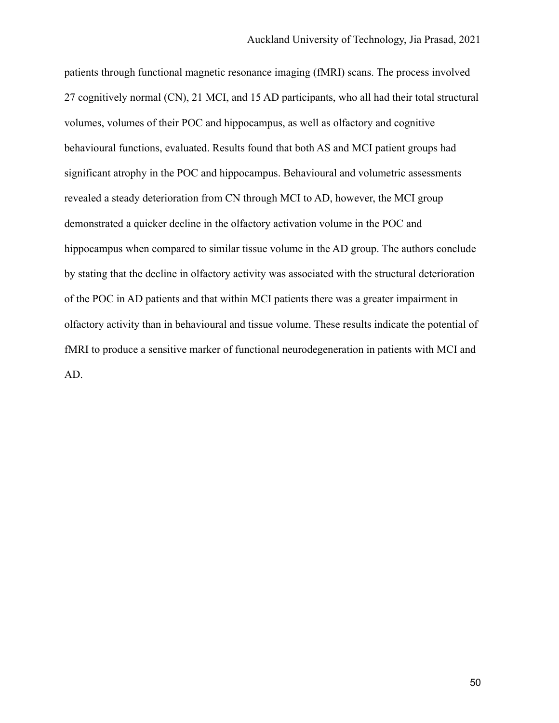patients through functional magnetic resonance imaging (fMRI) scans. The process involved 27 cognitively normal (CN), 21 MCI, and 15 AD participants, who all had their total structural volumes, volumes of their POC and hippocampus, as well as olfactory and cognitive behavioural functions, evaluated. Results found that both AS and MCI patient groups had significant atrophy in the POC and hippocampus. Behavioural and volumetric assessments revealed a steady deterioration from CN through MCI to AD, however, the MCI group demonstrated a quicker decline in the olfactory activation volume in the POC and hippocampus when compared to similar tissue volume in the AD group. The authors conclude by stating that the decline in olfactory activity was associated with the structural deterioration of the POC in AD patients and that within MCI patients there was a greater impairment in olfactory activity than in behavioural and tissue volume. These results indicate the potential of fMRI to produce a sensitive marker of functional neurodegeneration in patients with MCI and AD.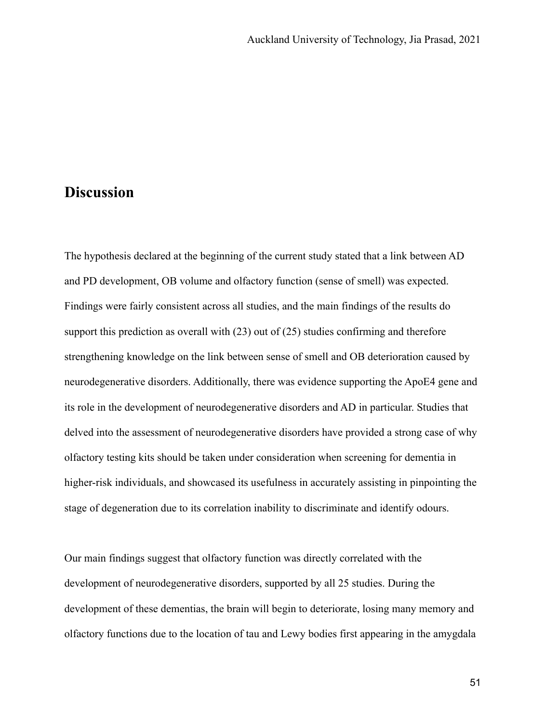## **Discussion**

The hypothesis declared at the beginning of the current study stated that a link between AD and PD development, OB volume and olfactory function (sense of smell) was expected. Findings were fairly consistent across all studies, and the main findings of the results do support this prediction as overall with (23) out of (25) studies confirming and therefore strengthening knowledge on the link between sense of smell and OB deterioration caused by neurodegenerative disorders. Additionally, there was evidence supporting the ApoE4 gene and its role in the development of neurodegenerative disorders and AD in particular. Studies that delved into the assessment of neurodegenerative disorders have provided a strong case of why olfactory testing kits should be taken under consideration when screening for dementia in higher-risk individuals, and showcased its usefulness in accurately assisting in pinpointing the stage of degeneration due to its correlation inability to discriminate and identify odours.

Our main findings suggest that olfactory function was directly correlated with the development of neurodegenerative disorders, supported by all 25 studies. During the development of these dementias, the brain will begin to deteriorate, losing many memory and olfactory functions due to the location of tau and Lewy bodies first appearing in the amygdala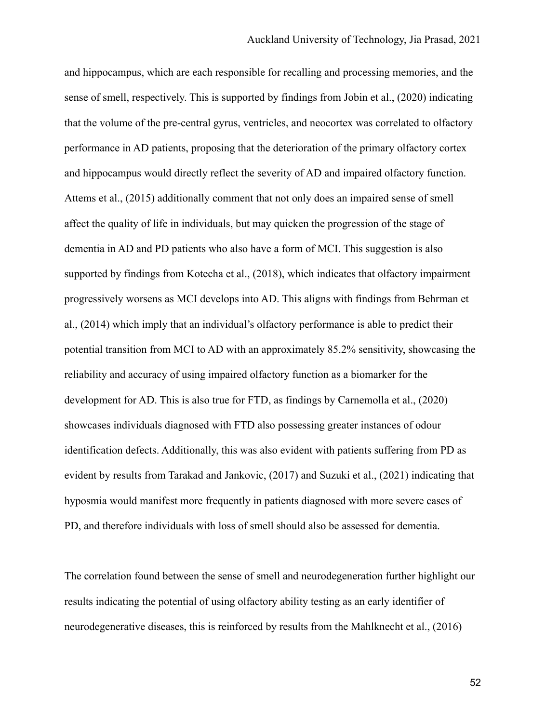and hippocampus, which are each responsible for recalling and processing memories, and the sense of smell, respectively. This is supported by findings from Jobin et al., (2020) indicating that the volume of the pre-central gyrus, ventricles, and neocortex was correlated to olfactory performance in AD patients, proposing that the deterioration of the primary olfactory cortex and hippocampus would directly reflect the severity of AD and impaired olfactory function. Attems et al., (2015) additionally comment that not only does an impaired sense of smell affect the quality of life in individuals, but may quicken the progression of the stage of dementia in AD and PD patients who also have a form of MCI. This suggestion is also supported by findings from Kotecha et al., (2018), which indicates that olfactory impairment progressively worsens as MCI develops into AD. This aligns with findings from Behrman et al., (2014) which imply that an individual's olfactory performance is able to predict their potential transition from MCI to AD with an approximately 85.2% sensitivity, showcasing the reliability and accuracy of using impaired olfactory function as a biomarker for the development for AD. This is also true for FTD, as findings by Carnemolla et al., (2020) showcases individuals diagnosed with FTD also possessing greater instances of odour identification defects. Additionally, this was also evident with patients suffering from PD as evident by results from Tarakad and Jankovic, (2017) and Suzuki et al., (2021) indicating that hyposmia would manifest more frequently in patients diagnosed with more severe cases of PD, and therefore individuals with loss of smell should also be assessed for dementia.

The correlation found between the sense of smell and neurodegeneration further highlight our results indicating the potential of using olfactory ability testing as an early identifier of neurodegenerative diseases, this is reinforced by results from the Mahlknecht et al., (2016)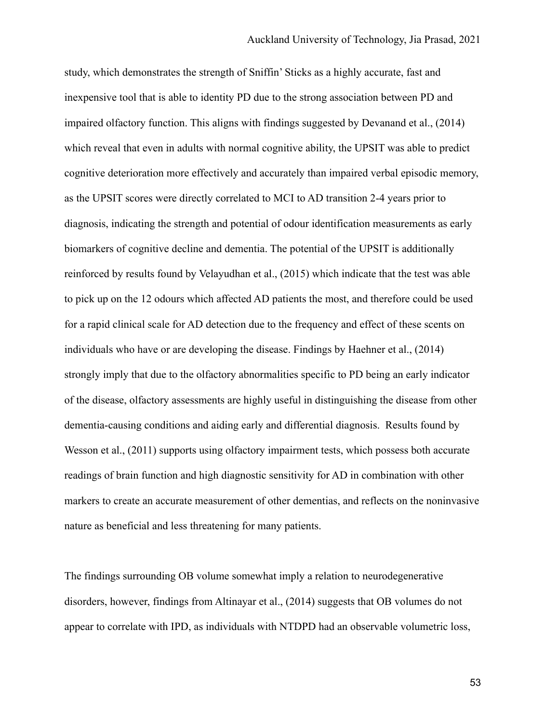study, which demonstrates the strength of Sniffin' Sticks as a highly accurate, fast and inexpensive tool that is able to identity PD due to the strong association between PD and impaired olfactory function. This aligns with findings suggested by Devanand et al., (2014) which reveal that even in adults with normal cognitive ability, the UPSIT was able to predict cognitive deterioration more effectively and accurately than impaired verbal episodic memory, as the UPSIT scores were directly correlated to MCI to AD transition 2-4 years prior to diagnosis, indicating the strength and potential of odour identification measurements as early biomarkers of cognitive decline and dementia. The potential of the UPSIT is additionally reinforced by results found by Velayudhan et al., (2015) which indicate that the test was able to pick up on the 12 odours which affected AD patients the most, and therefore could be used for a rapid clinical scale for AD detection due to the frequency and effect of these scents on individuals who have or are developing the disease. Findings by Haehner et al., (2014) strongly imply that due to the olfactory abnormalities specific to PD being an early indicator of the disease, olfactory assessments are highly useful in distinguishing the disease from other dementia-causing conditions and aiding early and differential diagnosis. Results found by Wesson et al., (2011) supports using olfactory impairment tests, which possess both accurate readings of brain function and high diagnostic sensitivity for AD in combination with other markers to create an accurate measurement of other dementias, and reflects on the noninvasive nature as beneficial and less threatening for many patients.

The findings surrounding OB volume somewhat imply a relation to neurodegenerative disorders, however, findings from Altinayar et al., (2014) suggests that OB volumes do not appear to correlate with IPD, as individuals with NTDPD had an observable volumetric loss,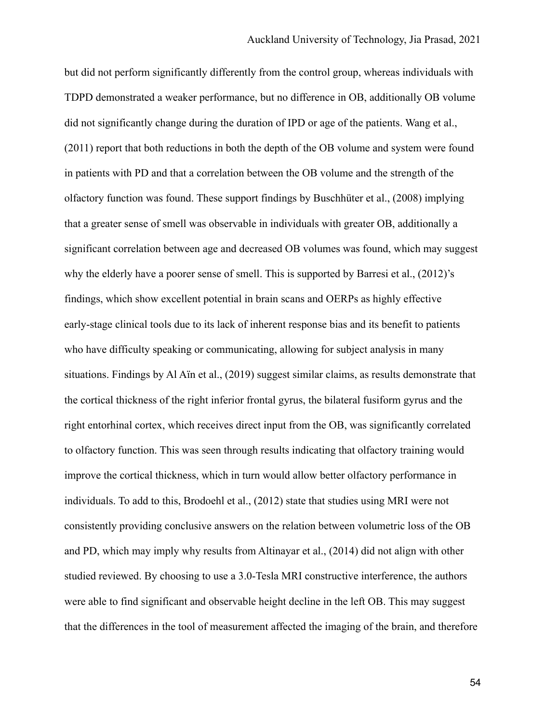but did not perform significantly differently from the control group, whereas individuals with TDPD demonstrated a weaker performance, but no difference in OB, additionally OB volume did not significantly change during the duration of IPD or age of the patients. Wang et al., (2011) report that both reductions in both the depth of the OB volume and system were found in patients with PD and that a correlation between the OB volume and the strength of the olfactory function was found. These support findings by Buschhüter et al., (2008) implying that a greater sense of smell was observable in individuals with greater OB, additionally a significant correlation between age and decreased OB volumes was found, which may suggest why the elderly have a poorer sense of smell. This is supported by Barresi et al., (2012)'s findings, which show excellent potential in brain scans and OERPs as highly effective early-stage clinical tools due to its lack of inherent response bias and its benefit to patients who have difficulty speaking or communicating, allowing for subject analysis in many situations. Findings by Al Aïn et al., (2019) suggest similar claims, as results demonstrate that the cortical thickness of the right inferior frontal gyrus, the bilateral fusiform gyrus and the right entorhinal cortex, which receives direct input from the OB, was significantly correlated to olfactory function. This was seen through results indicating that olfactory training would improve the cortical thickness, which in turn would allow better olfactory performance in individuals. To add to this, Brodoehl et al., (2012) state that studies using MRI were not consistently providing conclusive answers on the relation between volumetric loss of the OB and PD, which may imply why results from Altinayar et al., (2014) did not align with other studied reviewed. By choosing to use a 3.0-Tesla MRI constructive interference, the authors were able to find significant and observable height decline in the left OB. This may suggest that the differences in the tool of measurement affected the imaging of the brain, and therefore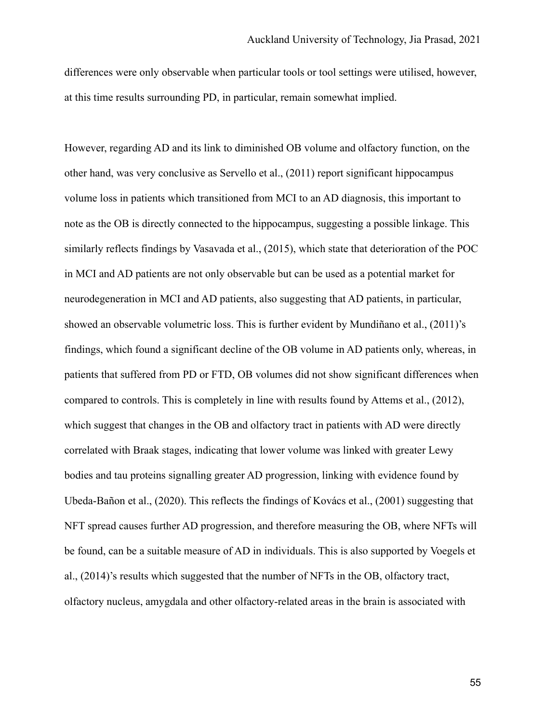differences were only observable when particular tools or tool settings were utilised, however, at this time results surrounding PD, in particular, remain somewhat implied.

However, regarding AD and its link to diminished OB volume and olfactory function, on the other hand, was very conclusive as Servello et al., (2011) report significant hippocampus volume loss in patients which transitioned from MCI to an AD diagnosis, this important to note as the OB is directly connected to the hippocampus, suggesting a possible linkage. This similarly reflects findings by Vasavada et al., (2015), which state that deterioration of the POC in MCI and AD patients are not only observable but can be used as a potential market for neurodegeneration in MCI and AD patients, also suggesting that AD patients, in particular, showed an observable volumetric loss. This is further evident by Mundiñano et al., (2011)'s findings, which found a significant decline of the OB volume in AD patients only, whereas, in patients that suffered from PD or FTD, OB volumes did not show significant differences when compared to controls. This is completely in line with results found by Attems et al., (2012), which suggest that changes in the OB and olfactory tract in patients with AD were directly correlated with Braak stages, indicating that lower volume was linked with greater Lewy bodies and tau proteins signalling greater AD progression, linking with evidence found by Ubeda-Bañon et al., (2020). This reflects the findings of Kovács et al., (2001) suggesting that NFT spread causes further AD progression, and therefore measuring the OB, where NFTs will be found, can be a suitable measure of AD in individuals. This is also supported by Voegels et al., (2014)'s results which suggested that the number of NFTs in the OB, olfactory tract, olfactory nucleus, amygdala and other olfactory-related areas in the brain is associated with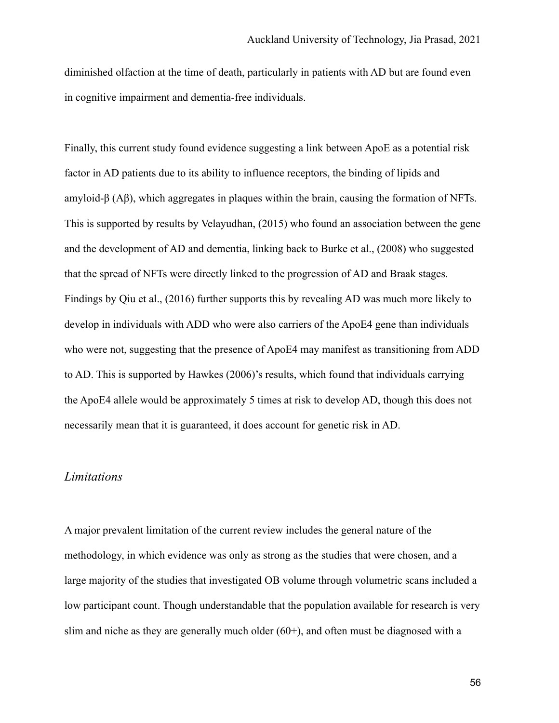diminished olfaction at the time of death, particularly in patients with AD but are found even in cognitive impairment and dementia-free individuals.

Finally, this current study found evidence suggesting a link between ApoE as a potential risk factor in AD patients due to its ability to influence receptors, the binding of lipids and amyloid-β (Aβ), which aggregates in plaques within the brain, causing the formation of NFTs. This is supported by results by Velayudhan, (2015) who found an association between the gene and the development of AD and dementia, linking back to Burke et al., (2008) who suggested that the spread of NFTs were directly linked to the progression of AD and Braak stages. Findings by Qiu et al., (2016) further supports this by revealing AD was much more likely to develop in individuals with ADD who were also carriers of the ApoE4 gene than individuals who were not, suggesting that the presence of ApoE4 may manifest as transitioning from ADD to AD. This is supported by Hawkes (2006)'s results, which found that individuals carrying the ApoE4 allele would be approximately 5 times at risk to develop AD, though this does not necessarily mean that it is guaranteed, it does account for genetic risk in AD.

#### *Limitations*

A major prevalent limitation of the current review includes the general nature of the methodology, in which evidence was only as strong as the studies that were chosen, and a large majority of the studies that investigated OB volume through volumetric scans included a low participant count. Though understandable that the population available for research is very slim and niche as they are generally much older  $(60+)$ , and often must be diagnosed with a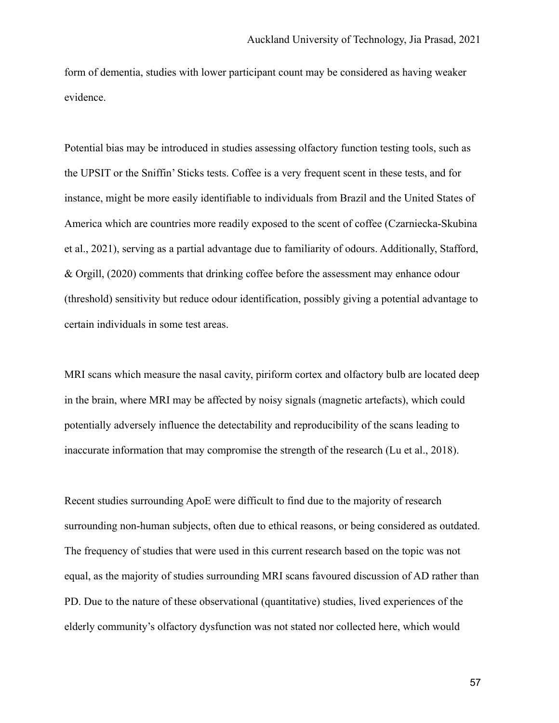form of dementia, studies with lower participant count may be considered as having weaker evidence.

Potential bias may be introduced in studies assessing olfactory function testing tools, such as the UPSIT or the Sniffin' Sticks tests. Coffee is a very frequent scent in these tests, and for instance, might be more easily identifiable to individuals from Brazil and the United States of America which are countries more readily exposed to the scent of coffee (Czarniecka-Skubina et al., 2021), serving as a partial advantage due to familiarity of odours. Additionally, Stafford, & Orgill, (2020) comments that drinking coffee before the assessment may enhance odour (threshold) sensitivity but reduce odour identification, possibly giving a potential advantage to certain individuals in some test areas.

MRI scans which measure the nasal cavity, piriform cortex and olfactory bulb are located deep in the brain, where MRI may be affected by noisy signals (magnetic artefacts), which could potentially adversely influence the detectability and reproducibility of the scans leading to inaccurate information that may compromise the strength of the research (Lu et al., 2018).

Recent studies surrounding ApoE were difficult to find due to the majority of research surrounding non-human subjects, often due to ethical reasons, or being considered as outdated. The frequency of studies that were used in this current research based on the topic was not equal, as the majority of studies surrounding MRI scans favoured discussion of AD rather than PD. Due to the nature of these observational (quantitative) studies, lived experiences of the elderly community's olfactory dysfunction was not stated nor collected here, which would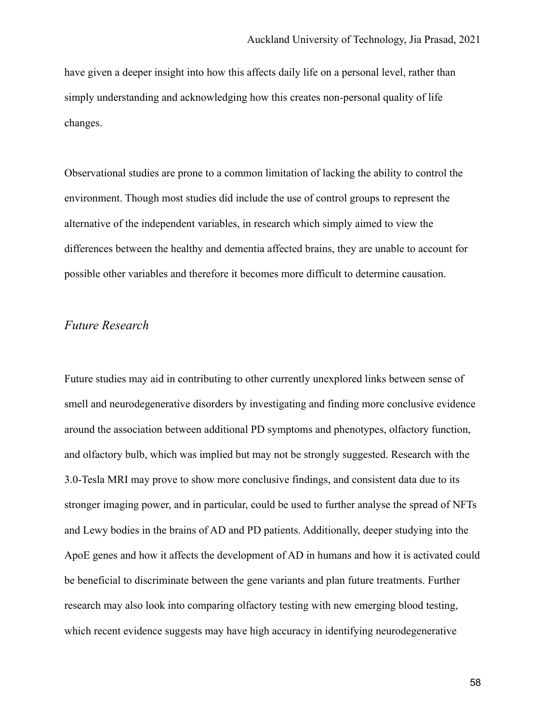have given a deeper insight into how this affects daily life on a personal level, rather than simply understanding and acknowledging how this creates non-personal quality of life changes.

Observational studies are prone to a common limitation of lacking the ability to control the environment. Though most studies did include the use of control groups to represent the alternative of the independent variables, in research which simply aimed to view the differences between the healthy and dementia affected brains, they are unable to account for possible other variables and therefore it becomes more difficult to determine causation.

### *Future Research*

Future studies may aid in contributing to other currently unexplored links between sense of smell and neurodegenerative disorders by investigating and finding more conclusive evidence around the association between additional PD symptoms and phenotypes, olfactory function, and olfactory bulb, which was implied but may not be strongly suggested. Research with the 3.0-Tesla MRI may prove to show more conclusive findings, and consistent data due to its stronger imaging power, and in particular, could be used to further analyse the spread of NFTs and Lewy bodies in the brains of AD and PD patients. Additionally, deeper studying into the ApoE genes and how it affects the development of AD in humans and how it is activated could be beneficial to discriminate between the gene variants and plan future treatments. Further research may also look into comparing olfactory testing with new emerging blood testing, which recent evidence suggests may have high accuracy in identifying neurodegenerative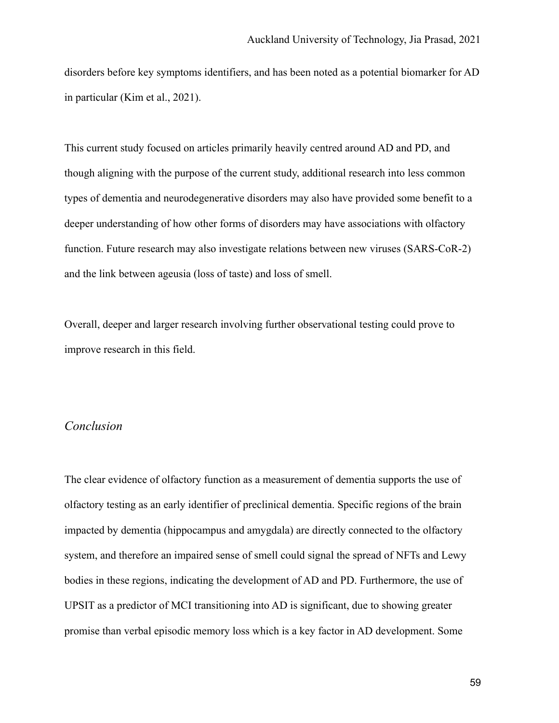disorders before key symptoms identifiers, and has been noted as a potential biomarker for AD in particular (Kim et al., 2021).

This current study focused on articles primarily heavily centred around AD and PD, and though aligning with the purpose of the current study, additional research into less common types of dementia and neurodegenerative disorders may also have provided some benefit to a deeper understanding of how other forms of disorders may have associations with olfactory function. Future research may also investigate relations between new viruses (SARS-CoR-2) and the link between ageusia (loss of taste) and loss of smell.

Overall, deeper and larger research involving further observational testing could prove to improve research in this field.

### *Conclusion*

The clear evidence of olfactory function as a measurement of dementia supports the use of olfactory testing as an early identifier of preclinical dementia. Specific regions of the brain impacted by dementia (hippocampus and amygdala) are directly connected to the olfactory system, and therefore an impaired sense of smell could signal the spread of NFTs and Lewy bodies in these regions, indicating the development of AD and PD. Furthermore, the use of UPSIT as a predictor of MCI transitioning into AD is significant, due to showing greater promise than verbal episodic memory loss which is a key factor in AD development. Some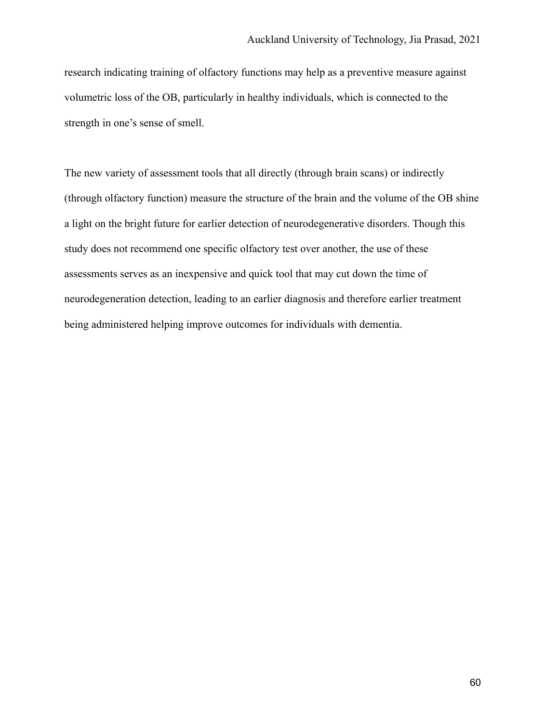research indicating training of olfactory functions may help as a preventive measure against volumetric loss of the OB, particularly in healthy individuals, which is connected to the strength in one's sense of smell.

The new variety of assessment tools that all directly (through brain scans) or indirectly (through olfactory function) measure the structure of the brain and the volume of the OB shine a light on the bright future for earlier detection of neurodegenerative disorders. Though this study does not recommend one specific olfactory test over another, the use of these assessments serves as an inexpensive and quick tool that may cut down the time of neurodegeneration detection, leading to an earlier diagnosis and therefore earlier treatment being administered helping improve outcomes for individuals with dementia.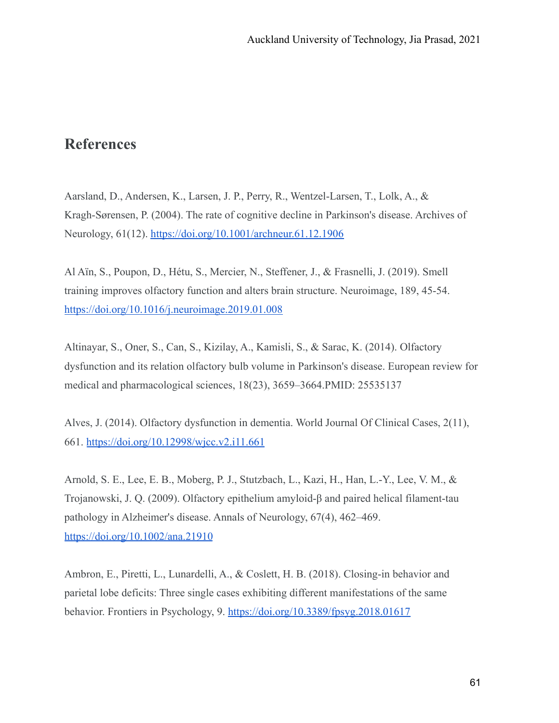# **References**

Aarsland, D., Andersen, K., Larsen, J. P., Perry, R., Wentzel-Larsen, T., Lolk, A., & Kragh-Sørensen, P. (2004). The rate of cognitive decline in Parkinson's disease. Archives of Neurology, 61(12). <https://doi.org/10.1001/archneur.61.12.1906>

Al Aïn, S., Poupon, D., Hétu, S., Mercier, N., Steffener, J., & Frasnelli, J. (2019). Smell training improves olfactory function and alters brain structure. Neuroimage, 189, 45-54. <https://doi.org/10.1016/j.neuroimage.2019.01.008>

Altinayar, S., Oner, S., Can, S., Kizilay, A., Kamisli, S., & Sarac, K. (2014). Olfactory dysfunction and its relation olfactory bulb volume in Parkinson's disease. European review for medical and pharmacological sciences, 18(23), 3659–3664.PMID: 25535137

Alves, J. (2014). Olfactory dysfunction in dementia. World Journal Of Clinical Cases, 2(11), 661. <https://doi.org/10.12998/wjcc.v2.i11.661>

Arnold, S. E., Lee, E. B., Moberg, P. J., Stutzbach, L., Kazi, H., Han, L.-Y., Lee, V. M., & Trojanowski, J. Q. (2009). Olfactory epithelium amyloid-β and paired helical filament-tau pathology in Alzheimer's disease. Annals of Neurology, 67(4), 462–469. <https://doi.org/10.1002/ana.21910>

Ambron, E., Piretti, L., Lunardelli, A., & Coslett, H. B. (2018). Closing-in behavior and parietal lobe deficits: Three single cases exhibiting different manifestations of the same behavior. Frontiers in Psychology, 9. <https://doi.org/10.3389/fpsyg.2018.01617>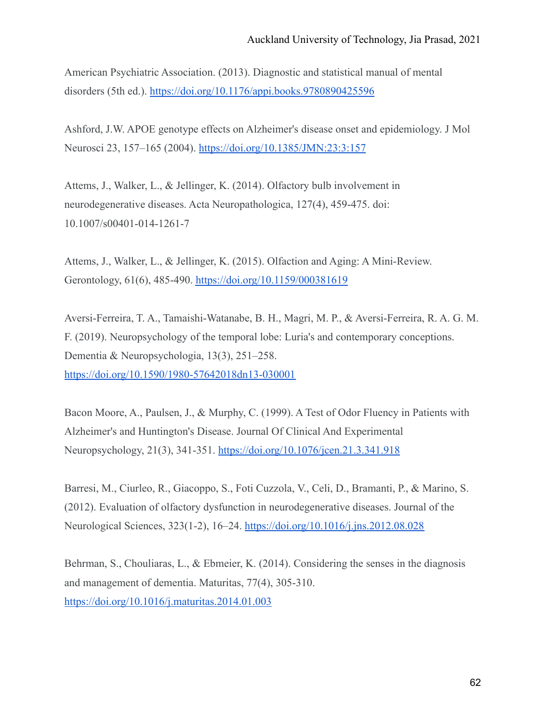American Psychiatric Association. (2013). Diagnostic and statistical manual of mental disorders (5th ed.). <https://doi.org/10.1176/appi.books.9780890425596>

Ashford, J.W. APOE genotype effects on Alzheimer's disease onset and epidemiology. J Mol Neurosci 23, 157–165 (2004). <https://doi.org/10.1385/JMN:23:3:157>

Attems, J., Walker, L., & Jellinger, K. (2014). Olfactory bulb involvement in neurodegenerative diseases. Acta Neuropathologica, 127(4), 459-475. doi: 10.1007/s00401-014-1261-7

Attems, J., Walker, L., & Jellinger, K. (2015). Olfaction and Aging: A Mini-Review. Gerontology, 61(6), 485-490. <https://doi.org/10.1159/000381619>

Aversi-Ferreira, T. A., Tamaishi-Watanabe, B. H., Magri, M. P., & Aversi-Ferreira, R. A. G. M. F. (2019). Neuropsychology of the temporal lobe: Luria's and contemporary conceptions. Dementia & Neuropsychologia, 13(3), 251–258. <https://doi.org/10.1590/1980-57642018dn13-030001>

Bacon Moore, A., Paulsen, J., & Murphy, C. (1999). A Test of Odor Fluency in Patients with Alzheimer's and Huntington's Disease. Journal Of Clinical And Experimental Neuropsychology, 21(3), 341-351. <https://doi.org/10.1076/jcen.21.3.341.918>

Barresi, M., Ciurleo, R., Giacoppo, S., Foti Cuzzola, V., Celi, D., Bramanti, P., & Marino, S. (2012). Evaluation of olfactory dysfunction in neurodegenerative diseases. Journal of the Neurological Sciences, 323(1-2), 16–24. <https://doi.org/10.1016/j.jns.2012.08.028>

Behrman, S., Chouliaras, L., & Ebmeier, K. (2014). Considering the senses in the diagnosis and management of dementia. Maturitas, 77(4), 305-310. <https://doi.org/10.1016/j.maturitas.2014.01.003>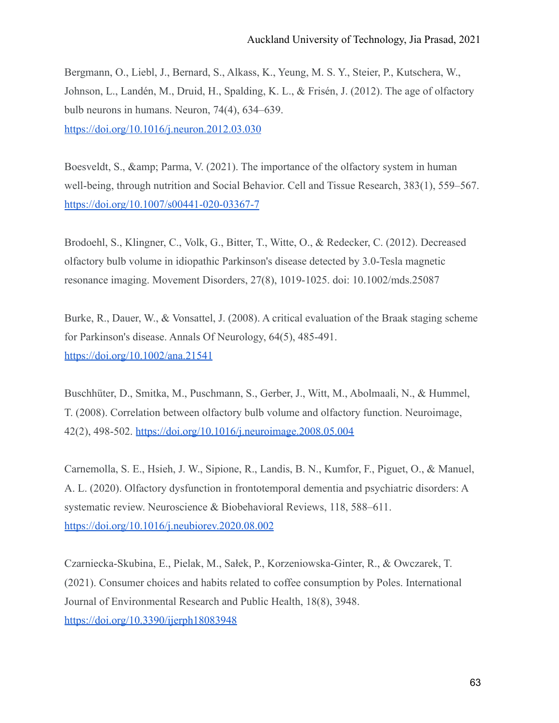Bergmann, O., Liebl, J., Bernard, S., Alkass, K., Yeung, M. S. Y., Steier, P., Kutschera, W., Johnson, L., Landén, M., Druid, H., Spalding, K. L., & Frisén, J. (2012). The age of olfactory bulb neurons in humans. Neuron, 74(4), 634–639. <https://doi.org/10.1016/j.neuron.2012.03.030>

Boesveldt, S., & amp; Parma, V. (2021). The importance of the olfactory system in human well-being, through nutrition and Social Behavior. Cell and Tissue Research, 383(1), 559–567. <https://doi.org/10.1007/s00441-020-03367-7>

Brodoehl, S., Klingner, C., Volk, G., Bitter, T., Witte, O., & Redecker, C. (2012). Decreased olfactory bulb volume in idiopathic Parkinson's disease detected by 3.0-Tesla magnetic resonance imaging. Movement Disorders, 27(8), 1019-1025. doi: 10.1002/mds.25087

Burke, R., Dauer, W., & Vonsattel, J. (2008). A critical evaluation of the Braak staging scheme for Parkinson's disease. Annals Of Neurology, 64(5), 485-491. <https://doi.org/10.1002/ana.21541>

Buschhüter, D., Smitka, M., Puschmann, S., Gerber, J., Witt, M., Abolmaali, N., & Hummel, T. (2008). Correlation between olfactory bulb volume and olfactory function. Neuroimage, 42(2), 498-502. <https://doi.org/10.1016/j.neuroimage.2008.05.004>

Carnemolla, S. E., Hsieh, J. W., Sipione, R., Landis, B. N., Kumfor, F., Piguet, O., & Manuel, A. L. (2020). Olfactory dysfunction in frontotemporal dementia and psychiatric disorders: A systematic review. Neuroscience & Biobehavioral Reviews, 118, 588–611. <https://doi.org/10.1016/j.neubiorev.2020.08.002>

Czarniecka-Skubina, E., Pielak, M., Sałek, P., Korzeniowska-Ginter, R., & Owczarek, T. (2021). Consumer choices and habits related to coffee consumption by Poles. International Journal of Environmental Research and Public Health, 18(8), 3948. <https://doi.org/10.3390/ijerph18083948>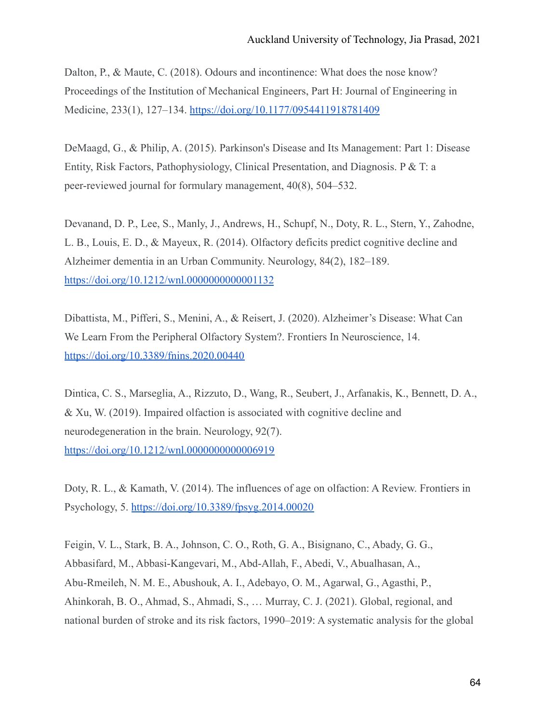Dalton, P., & Maute, C. (2018). Odours and incontinence: What does the nose know? Proceedings of the Institution of Mechanical Engineers, Part H: Journal of Engineering in Medicine, 233(1), 127–134. <https://doi.org/10.1177/0954411918781409>

DeMaagd, G., & Philip, A. (2015). Parkinson's Disease and Its Management: Part 1: Disease Entity, Risk Factors, Pathophysiology, Clinical Presentation, and Diagnosis. P & T: a peer-reviewed journal for formulary management, 40(8), 504–532.

Devanand, D. P., Lee, S., Manly, J., Andrews, H., Schupf, N., Doty, R. L., Stern, Y., Zahodne, L. B., Louis, E. D., & Mayeux, R. (2014). Olfactory deficits predict cognitive decline and Alzheimer dementia in an Urban Community. Neurology, 84(2), 182–189. <https://doi.org/10.1212/wnl.0000000000001132>

Dibattista, M., Pifferi, S., Menini, A., & Reisert, J. (2020). Alzheimer's Disease: What Can We Learn From the Peripheral Olfactory System?. Frontiers In Neuroscience, 14. <https://doi.org/10.3389/fnins.2020.00440>

Dintica, C. S., Marseglia, A., Rizzuto, D., Wang, R., Seubert, J., Arfanakis, K., Bennett, D. A., & Xu, W. (2019). Impaired olfaction is associated with cognitive decline and neurodegeneration in the brain. Neurology, 92(7). <https://doi.org/10.1212/wnl.0000000000006919>

Doty, R. L., & Kamath, V. (2014). The influences of age on olfaction: A Review. Frontiers in Psychology, 5. <https://doi.org/10.3389/fpsyg.2014.00020>

Feigin, V. L., Stark, B. A., Johnson, C. O., Roth, G. A., Bisignano, C., Abady, G. G., Abbasifard, M., Abbasi-Kangevari, M., Abd-Allah, F., Abedi, V., Abualhasan, A., Abu-Rmeileh, N. M. E., Abushouk, A. I., Adebayo, O. M., Agarwal, G., Agasthi, P., Ahinkorah, B. O., Ahmad, S., Ahmadi, S., … Murray, C. J. (2021). Global, regional, and national burden of stroke and its risk factors, 1990–2019: A systematic analysis for the global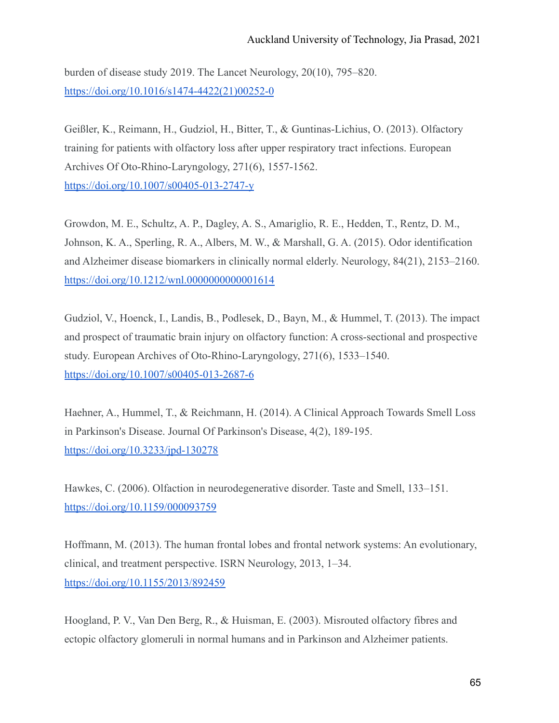burden of disease study 2019. The Lancet Neurology, 20(10), 795–820. [https://doi.org/10.1016/s1474-4422\(21\)00252-0](https://doi.org/10.1016/s1474-4422(21)00252-0)

Geißler, K., Reimann, H., Gudziol, H., Bitter, T., & Guntinas-Lichius, O. (2013). Olfactory training for patients with olfactory loss after upper respiratory tract infections. European Archives Of Oto-Rhino-Laryngology, 271(6), 1557-1562. <https://doi.org/10.1007/s00405-013-2747-y>

Growdon, M. E., Schultz, A. P., Dagley, A. S., Amariglio, R. E., Hedden, T., Rentz, D. M., Johnson, K. A., Sperling, R. A., Albers, M. W., & Marshall, G. A. (2015). Odor identification and Alzheimer disease biomarkers in clinically normal elderly. Neurology, 84(21), 2153–2160. <https://doi.org/10.1212/wnl.0000000000001614>

Gudziol, V., Hoenck, I., Landis, B., Podlesek, D., Bayn, M., & Hummel, T. (2013). The impact and prospect of traumatic brain injury on olfactory function: A cross-sectional and prospective study. European Archives of Oto-Rhino-Laryngology, 271(6), 1533–1540. <https://doi.org/10.1007/s00405-013-2687-6>

Haehner, A., Hummel, T., & Reichmann, H. (2014). A Clinical Approach Towards Smell Loss in Parkinson's Disease. Journal Of Parkinson's Disease, 4(2), 189-195. <https://doi.org/10.3233/jpd-130278>

Hawkes, C. (2006). Olfaction in neurodegenerative disorder. Taste and Smell, 133–151. <https://doi.org/10.1159/000093759>

Hoffmann, M. (2013). The human frontal lobes and frontal network systems: An evolutionary, clinical, and treatment perspective. ISRN Neurology, 2013, 1–34. <https://doi.org/10.1155/2013/892459>

Hoogland, P. V., Van Den Berg, R., & Huisman, E. (2003). Misrouted olfactory fibres and ectopic olfactory glomeruli in normal humans and in Parkinson and Alzheimer patients.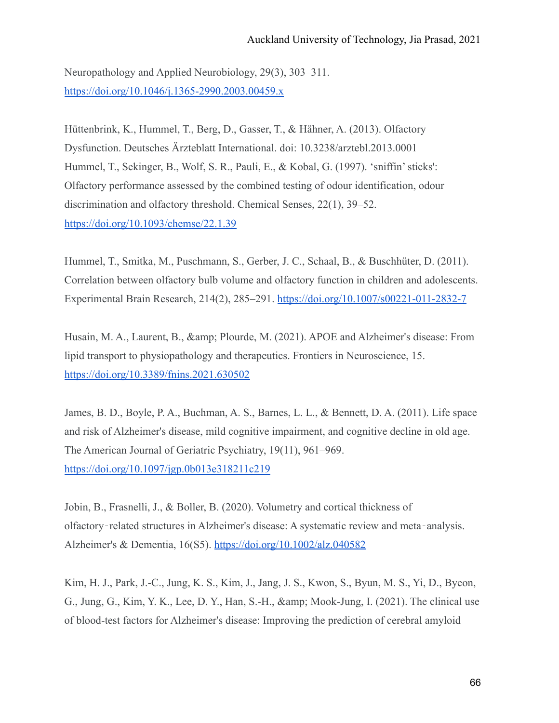Neuropathology and Applied Neurobiology, 29(3), 303–311. <https://doi.org/10.1046/j.1365-2990.2003.00459.x>

Hüttenbrink, K., Hummel, T., Berg, D., Gasser, T., & Hähner, A. (2013). Olfactory Dysfunction. Deutsches Ärzteblatt International. doi: 10.3238/arztebl.2013.0001 Hummel, T., Sekinger, B., Wolf, S. R., Pauli, E., & Kobal, G. (1997). 'sniffin' sticks': Olfactory performance assessed by the combined testing of odour identification, odour discrimination and olfactory threshold. Chemical Senses, 22(1), 39–52. <https://doi.org/10.1093/chemse/22.1.39>

Hummel, T., Smitka, M., Puschmann, S., Gerber, J. C., Schaal, B., & Buschhüter, D. (2011). Correlation between olfactory bulb volume and olfactory function in children and adolescents. Experimental Brain Research, 214(2), 285–291. <https://doi.org/10.1007/s00221-011-2832-7>

Husain, M. A., Laurent, B., & amp; Plourde, M. (2021). APOE and Alzheimer's disease: From lipid transport to physiopathology and therapeutics. Frontiers in Neuroscience, 15. <https://doi.org/10.3389/fnins.2021.630502>

James, B. D., Boyle, P. A., Buchman, A. S., Barnes, L. L., & Bennett, D. A. (2011). Life space and risk of Alzheimer's disease, mild cognitive impairment, and cognitive decline in old age. The American Journal of Geriatric Psychiatry, 19(11), 961–969. <https://doi.org/10.1097/jgp.0b013e318211c219>

Jobin, B., Frasnelli, J., & Boller, B. (2020). Volumetry and cortical thickness of olfactory‐related structures in Alzheimer's disease: A systematic review and meta‐analysis. Alzheimer's & Dementia, 16(S5). <https://doi.org/10.1002/alz.040582>

Kim, H. J., Park, J.-C., Jung, K. S., Kim, J., Jang, J. S., Kwon, S., Byun, M. S., Yi, D., Byeon, G., Jung, G., Kim, Y. K., Lee, D. Y., Han, S.-H., & amp; Mook-Jung, I. (2021). The clinical use of blood-test factors for Alzheimer's disease: Improving the prediction of cerebral amyloid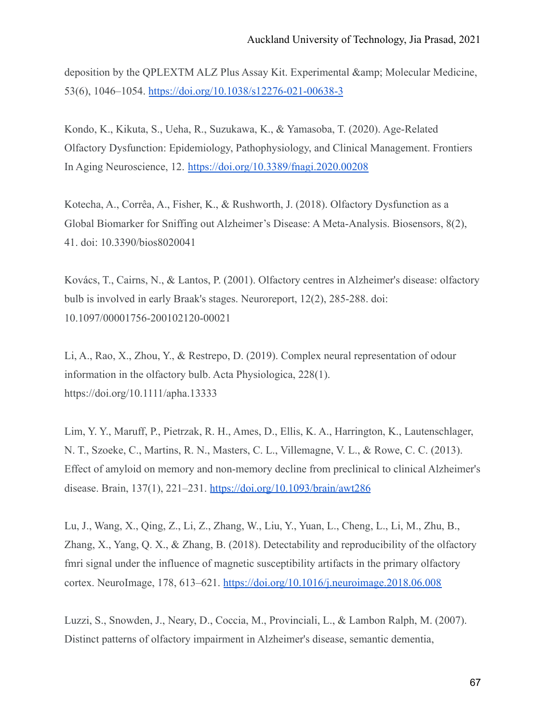deposition by the QPLEXTM ALZ Plus Assay Kit. Experimental & amp; Molecular Medicine, 53(6), 1046–1054. <https://doi.org/10.1038/s12276-021-00638-3>

Kondo, K., Kikuta, S., Ueha, R., Suzukawa, K., & Yamasoba, T. (2020). Age-Related Olfactory Dysfunction: Epidemiology, Pathophysiology, and Clinical Management. Frontiers In Aging Neuroscience, 12. <https://doi.org/10.3389/fnagi.2020.00208>

Kotecha, A., Corrêa, A., Fisher, K., & Rushworth, J. (2018). Olfactory Dysfunction as a Global Biomarker for Sniffing out Alzheimer's Disease: A Meta-Analysis. Biosensors, 8(2), 41. doi: 10.3390/bios8020041

Kovács, T., Cairns, N., & Lantos, P. (2001). Olfactory centres in Alzheimer's disease: olfactory bulb is involved in early Braak's stages. Neuroreport, 12(2), 285-288. doi: 10.1097/00001756-200102120-00021

Li, A., Rao, X., Zhou, Y., & Restrepo, D. (2019). Complex neural representation of odour information in the olfactory bulb. Acta Physiologica, 228(1). https://doi.org/10.1111/apha.13333

Lim, Y. Y., Maruff, P., Pietrzak, R. H., Ames, D., Ellis, K. A., Harrington, K., Lautenschlager, N. T., Szoeke, C., Martins, R. N., Masters, C. L., Villemagne, V. L., & Rowe, C. C. (2013). Effect of amyloid on memory and non-memory decline from preclinical to clinical Alzheimer's disease. Brain, 137(1), 221–231. <https://doi.org/10.1093/brain/awt286>

Lu, J., Wang, X., Qing, Z., Li, Z., Zhang, W., Liu, Y., Yuan, L., Cheng, L., Li, M., Zhu, B., Zhang, X., Yang, Q. X., & Zhang, B. (2018). Detectability and reproducibility of the olfactory fmri signal under the influence of magnetic susceptibility artifacts in the primary olfactory cortex. NeuroImage, 178, 613–621. <https://doi.org/10.1016/j.neuroimage.2018.06.008>

Luzzi, S., Snowden, J., Neary, D., Coccia, M., Provinciali, L., & Lambon Ralph, M. (2007). Distinct patterns of olfactory impairment in Alzheimer's disease, semantic dementia,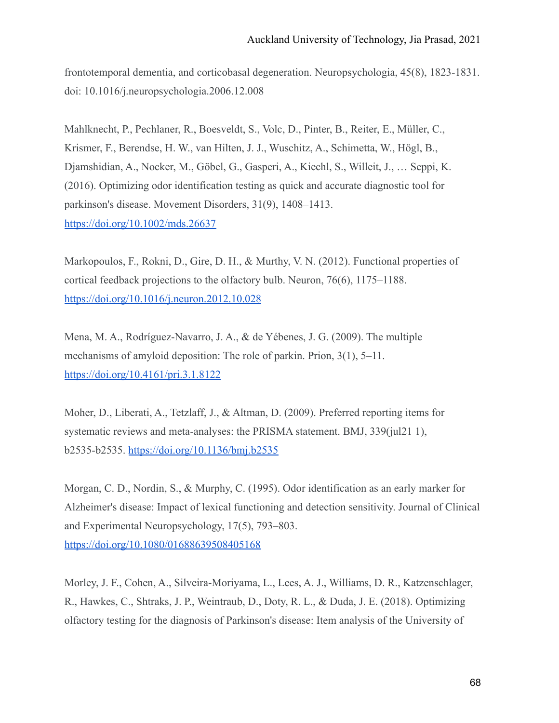frontotemporal dementia, and corticobasal degeneration. Neuropsychologia, 45(8), 1823-1831. doi: 10.1016/j.neuropsychologia.2006.12.008

Mahlknecht, P., Pechlaner, R., Boesveldt, S., Volc, D., Pinter, B., Reiter, E., Müller, C., Krismer, F., Berendse, H. W., van Hilten, J. J., Wuschitz, A., Schimetta, W., Högl, B., Djamshidian, A., Nocker, M., Göbel, G., Gasperi, A., Kiechl, S., Willeit, J., … Seppi, K. (2016). Optimizing odor identification testing as quick and accurate diagnostic tool for parkinson's disease. Movement Disorders, 31(9), 1408–1413. <https://doi.org/10.1002/mds.26637>

Markopoulos, F., Rokni, D., Gire, D. H., & Murthy, V. N. (2012). Functional properties of cortical feedback projections to the olfactory bulb. Neuron, 76(6), 1175–1188. <https://doi.org/10.1016/j.neuron.2012.10.028>

Mena, M. A., Rodríguez-Navarro, J. A., & de Yébenes, J. G. (2009). The multiple mechanisms of amyloid deposition: The role of parkin. Prion, 3(1), 5–11. <https://doi.org/10.4161/pri.3.1.8122>

Moher, D., Liberati, A., Tetzlaff, J., & Altman, D. (2009). Preferred reporting items for systematic reviews and meta-analyses: the PRISMA statement. BMJ, 339(jul21 1), b2535-b2535. <https://doi.org/10.1136/bmj.b2535>

Morgan, C. D., Nordin, S., & Murphy, C. (1995). Odor identification as an early marker for Alzheimer's disease: Impact of lexical functioning and detection sensitivity. Journal of Clinical and Experimental Neuropsychology, 17(5), 793–803. <https://doi.org/10.1080/01688639508405168>

Morley, J. F., Cohen, A., Silveira-Moriyama, L., Lees, A. J., Williams, D. R., Katzenschlager, R., Hawkes, C., Shtraks, J. P., Weintraub, D., Doty, R. L., & Duda, J. E. (2018). Optimizing olfactory testing for the diagnosis of Parkinson's disease: Item analysis of the University of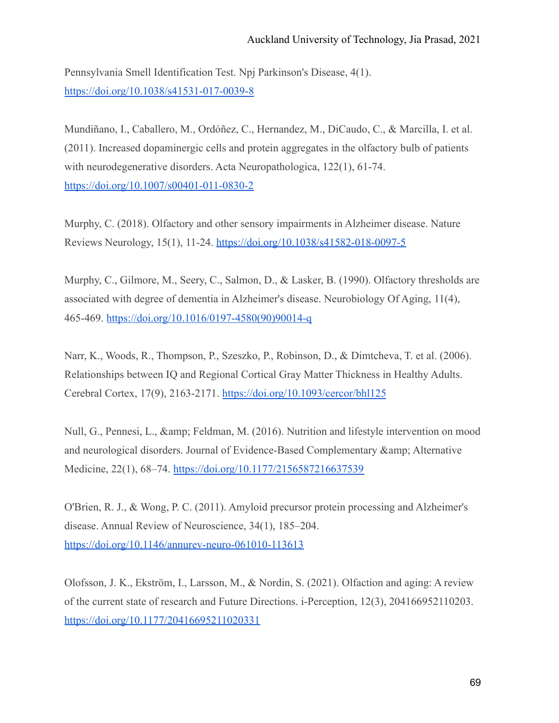Pennsylvania Smell Identification Test. Npj Parkinson's Disease, 4(1). <https://doi.org/10.1038/s41531-017-0039-8>

Mundiñano, I., Caballero, M., Ordóñez, C., Hernandez, M., DiCaudo, C., & Marcilla, I. et al. (2011). Increased dopaminergic cells and protein aggregates in the olfactory bulb of patients with neurodegenerative disorders. Acta Neuropathologica, 122(1), 61-74. <https://doi.org/10.1007/s00401-011-0830-2>

Murphy, C. (2018). Olfactory and other sensory impairments in Alzheimer disease. Nature Reviews Neurology, 15(1), 11-24. <https://doi.org/10.1038/s41582-018-0097-5>

Murphy, C., Gilmore, M., Seery, C., Salmon, D., & Lasker, B. (1990). Olfactory thresholds are associated with degree of dementia in Alzheimer's disease. Neurobiology Of Aging, 11(4), 465-469. [https://doi.org/10.1016/0197-4580\(90\)90014-q](https://doi.org/10.1016/0197-4580(90)90014-q)

Narr, K., Woods, R., Thompson, P., Szeszko, P., Robinson, D., & Dimtcheva, T. et al. (2006). Relationships between IQ and Regional Cortical Gray Matter Thickness in Healthy Adults. Cerebral Cortex, 17(9), 2163-2171. <https://doi.org/10.1093/cercor/bhl125>

Null, G., Pennesi, L., & amp; Feldman, M. (2016). Nutrition and lifestyle intervention on mood and neurological disorders. Journal of Evidence-Based Complementary & amp; Alternative Medicine, 22(1), 68-74. <https://doi.org/10.1177/2156587216637539>

O'Brien, R. J., & Wong, P. C. (2011). Amyloid precursor protein processing and Alzheimer's disease. Annual Review of Neuroscience, 34(1), 185–204. <https://doi.org/10.1146/annurev-neuro-061010-113613>

Olofsson, J. K., Ekström, I., Larsson, M., & Nordin, S. (2021). Olfaction and aging: A review of the current state of research and Future Directions. i-Perception, 12(3), 204166952110203. <https://doi.org/10.1177/20416695211020331>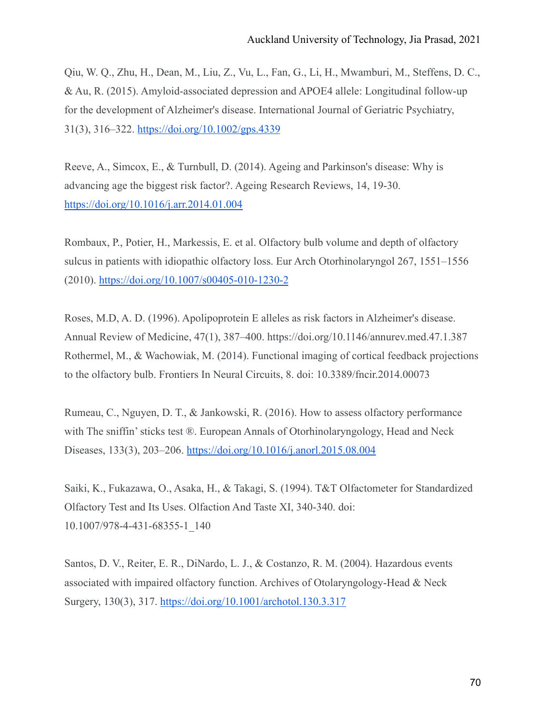Qiu, W. Q., Zhu, H., Dean, M., Liu, Z., Vu, L., Fan, G., Li, H., Mwamburi, M., Steffens, D. C., & Au, R. (2015). Amyloid-associated depression and APOE4 allele: Longitudinal follow-up for the development of Alzheimer's disease. International Journal of Geriatric Psychiatry, 31(3), 316–322. <https://doi.org/10.1002/gps.4339>

Reeve, A., Simcox, E., & Turnbull, D. (2014). Ageing and Parkinson's disease: Why is advancing age the biggest risk factor?. Ageing Research Reviews, 14, 19-30. <https://doi.org/10.1016/j.arr.2014.01.004>

Rombaux, P., Potier, H., Markessis, E. et al. Olfactory bulb volume and depth of olfactory sulcus in patients with idiopathic olfactory loss. Eur Arch Otorhinolaryngol 267, 1551–1556 (2010). <https://doi.org/10.1007/s00405-010-1230-2>

Roses, M.D, A. D. (1996). Apolipoprotein E alleles as risk factors in Alzheimer's disease. Annual Review of Medicine, 47(1), 387–400. https://doi.org/10.1146/annurev.med.47.1.387 Rothermel, M., & Wachowiak, M. (2014). Functional imaging of cortical feedback projections to the olfactory bulb. Frontiers In Neural Circuits, 8. doi: 10.3389/fncir.2014.00073

Rumeau, C., Nguyen, D. T., & Jankowski, R. (2016). How to assess olfactory performance with The sniffin' sticks test ®. European Annals of Otorhinolaryngology, Head and Neck Diseases, 133(3), 203–206. <https://doi.org/10.1016/j.anorl.2015.08.004>

Saiki, K., Fukazawa, O., Asaka, H., & Takagi, S. (1994). T&T Olfactometer for Standardized Olfactory Test and Its Uses. Olfaction And Taste XI, 340-340. doi: 10.1007/978-4-431-68355-1\_140

Santos, D. V., Reiter, E. R., DiNardo, L. J., & Costanzo, R. M. (2004). Hazardous events associated with impaired olfactory function. Archives of Otolaryngology-Head & Neck Surgery, 130(3), 317. <https://doi.org/10.1001/archotol.130.3.317>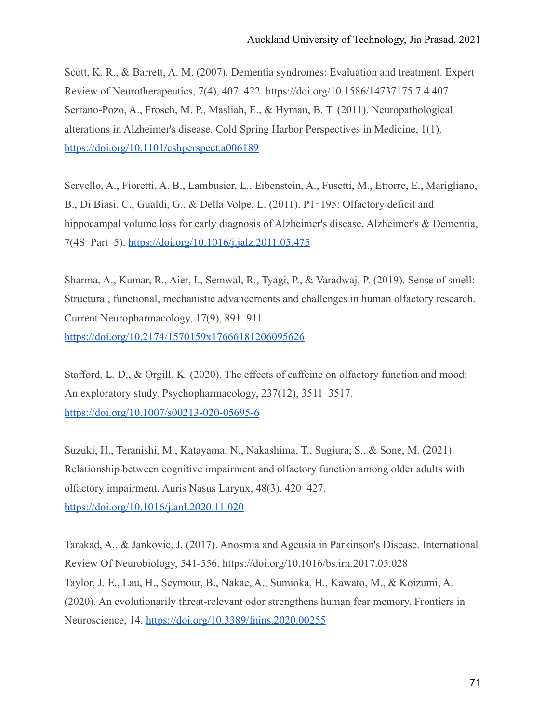Scott, K. R., & Barrett, A. M. (2007). Dementia syndromes: Evaluation and treatment. Expert Review of Neurotherapeutics, 7(4), 407–422. https://doi.org/10.1586/14737175.7.4.407 Serrano-Pozo, A., Frosch, M. P., Masliah, E., & Hyman, B. T. (2011). Neuropathological alterations in Alzheimer's disease. Cold Spring Harbor Perspectives in Medicine, 1(1). <https://doi.org/10.1101/cshperspect.a006189>

Servello, A., Fioretti, A. B., Lambusier, L., Eibenstein, A., Fusetti, M., Ettorre, E., Marigliano, B., Di Biasi, C., Gualdi, G., & Della Volpe, L. (2011). P1‐195: Olfactory deficit and hippocampal volume loss for early diagnosis of Alzheimer's disease. Alzheimer's & Dementia, 7(4S\_Part\_5). <https://doi.org/10.1016/j.jalz.2011.05.475>

Sharma, A., Kumar, R., Aier, I., Semwal, R., Tyagi, P., & Varadwaj, P. (2019). Sense of smell: Structural, functional, mechanistic advancements and challenges in human olfactory research. Current Neuropharmacology, 17(9), 891–911. <https://doi.org/10.2174/1570159x17666181206095626>

Stafford, L. D., & Orgill, K. (2020). The effects of caffeine on olfactory function and mood: An exploratory study. Psychopharmacology, 237(12), 3511–3517. <https://doi.org/10.1007/s00213-020-05695-6>

Suzuki, H., Teranishi, M., Katayama, N., Nakashima, T., Sugiura, S., & Sone, M. (2021). Relationship between cognitive impairment and olfactory function among older adults with olfactory impairment. Auris Nasus Larynx, 48(3), 420–427. <https://doi.org/10.1016/j.anl.2020.11.020>

Tarakad, A., & Jankovic, J. (2017). Anosmia and Ageusia in Parkinson's Disease. International Review Of Neurobiology, 541-556. https://doi.org/10.1016/bs.irn.2017.05.028 Taylor, J. E., Lau, H., Seymour, B., Nakae, A., Sumioka, H., Kawato, M., & Koizumi, A. (2020). An evolutionarily threat-relevant odor strengthens human fear memory. Frontiers in Neuroscience, 14. <https://doi.org/10.3389/fnins.2020.00255>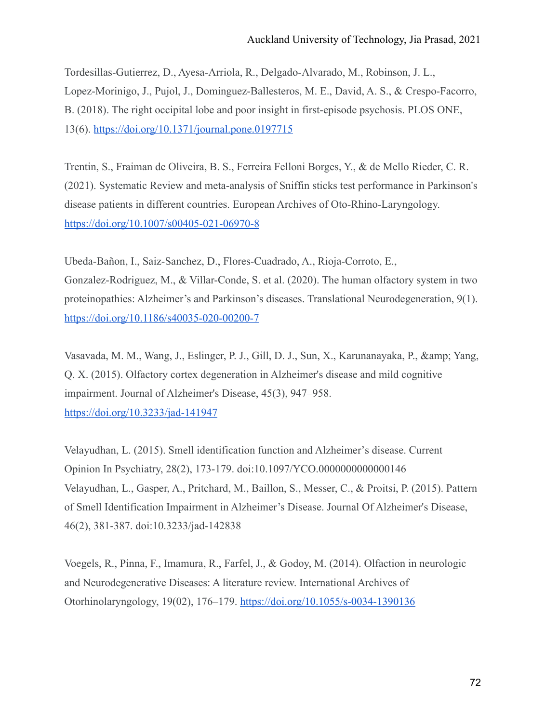Tordesillas-Gutierrez, D., Ayesa-Arriola, R., Delgado-Alvarado, M., Robinson, J. L., Lopez-Morinigo, J., Pujol, J., Dominguez-Ballesteros, M. E., David, A. S., & Crespo-Facorro, B. (2018). The right occipital lobe and poor insight in first-episode psychosis. PLOS ONE, 13(6). <https://doi.org/10.1371/journal.pone.0197715>

Trentin, S., Fraiman de Oliveira, B. S., Ferreira Felloni Borges, Y., & de Mello Rieder, C. R. (2021). Systematic Review and meta-analysis of Sniffin sticks test performance in Parkinson's disease patients in different countries. European Archives of Oto-Rhino-Laryngology. <https://doi.org/10.1007/s00405-021-06970-8>

Ubeda-Bañon, I., Saiz-Sanchez, D., Flores-Cuadrado, A., Rioja-Corroto, E., Gonzalez-Rodriguez, M., & Villar-Conde, S. et al. (2020). The human olfactory system in two proteinopathies: Alzheimer's and Parkinson's diseases. Translational Neurodegeneration, 9(1). <https://doi.org/10.1186/s40035-020-00200-7>

Vasavada, M. M., Wang, J., Eslinger, P. J., Gill, D. J., Sun, X., Karunanayaka, P., & amp; Yang, Q. X. (2015). Olfactory cortex degeneration in Alzheimer's disease and mild cognitive impairment. Journal of Alzheimer's Disease, 45(3), 947–958. <https://doi.org/10.3233/jad-141947>

Velayudhan, L. (2015). Smell identification function and Alzheimer's disease. Current Opinion In Psychiatry, 28(2), 173-179. doi:10.1097/YCO.0000000000000146 Velayudhan, L., Gasper, A., Pritchard, M., Baillon, S., Messer, C., & Proitsi, P. (2015). Pattern of Smell Identification Impairment in Alzheimer's Disease. Journal Of Alzheimer's Disease, 46(2), 381-387. doi:10.3233/jad-142838

Voegels, R., Pinna, F., Imamura, R., Farfel, J., & Godoy, M. (2014). Olfaction in neurologic and Neurodegenerative Diseases: A literature review. International Archives of Otorhinolaryngology, 19(02), 176–179. <https://doi.org/10.1055/s-0034-1390136>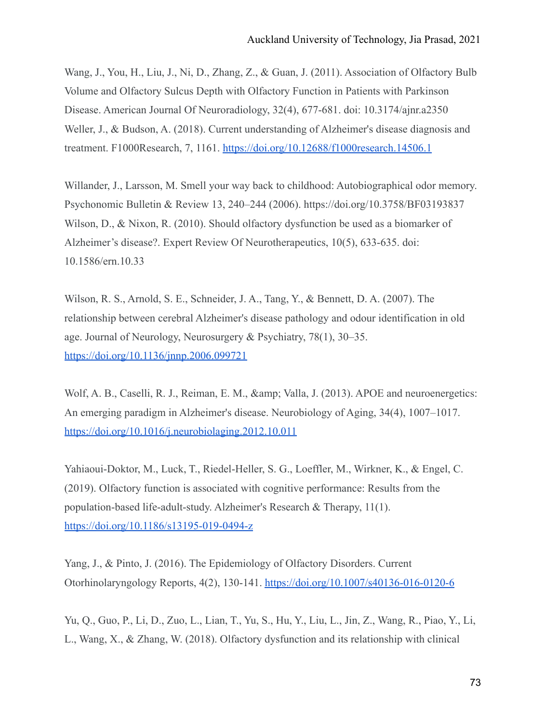Wang, J., You, H., Liu, J., Ni, D., Zhang, Z., & Guan, J. (2011). Association of Olfactory Bulb Volume and Olfactory Sulcus Depth with Olfactory Function in Patients with Parkinson Disease. American Journal Of Neuroradiology, 32(4), 677-681. doi: 10.3174/ajnr.a2350 Weller, J., & Budson, A. (2018). Current understanding of Alzheimer's disease diagnosis and treatment. F1000Research, 7, 1161. <https://doi.org/10.12688/f1000research.14506.1>

Willander, J., Larsson, M. Smell your way back to childhood: Autobiographical odor memory. Psychonomic Bulletin & Review 13, 240–244 (2006). https://doi.org/10.3758/BF03193837 Wilson, D., & Nixon, R. (2010). Should olfactory dysfunction be used as a biomarker of Alzheimer's disease?. Expert Review Of Neurotherapeutics, 10(5), 633-635. doi: 10.1586/ern.10.33

Wilson, R. S., Arnold, S. E., Schneider, J. A., Tang, Y., & Bennett, D. A. (2007). The relationship between cerebral Alzheimer's disease pathology and odour identification in old age. Journal of Neurology, Neurosurgery & Psychiatry, 78(1), 30–35. <https://doi.org/10.1136/jnnp.2006.099721>

Wolf, A. B., Caselli, R. J., Reiman, E. M., & amp; Valla, J. (2013). APOE and neuroenergetics: An emerging paradigm in Alzheimer's disease. Neurobiology of Aging, 34(4), 1007–1017. <https://doi.org/10.1016/j.neurobiolaging.2012.10.011>

Yahiaoui-Doktor, M., Luck, T., Riedel-Heller, S. G., Loeffler, M., Wirkner, K., & Engel, C. (2019). Olfactory function is associated with cognitive performance: Results from the population-based life-adult-study. Alzheimer's Research & Therapy, 11(1). <https://doi.org/10.1186/s13195-019-0494-z>

Yang, J., & Pinto, J. (2016). The Epidemiology of Olfactory Disorders. Current Otorhinolaryngology Reports, 4(2), 130-141. <https://doi.org/10.1007/s40136-016-0120-6>

Yu, Q., Guo, P., Li, D., Zuo, L., Lian, T., Yu, S., Hu, Y., Liu, L., Jin, Z., Wang, R., Piao, Y., Li, L., Wang, X., & Zhang, W. (2018). Olfactory dysfunction and its relationship with clinical